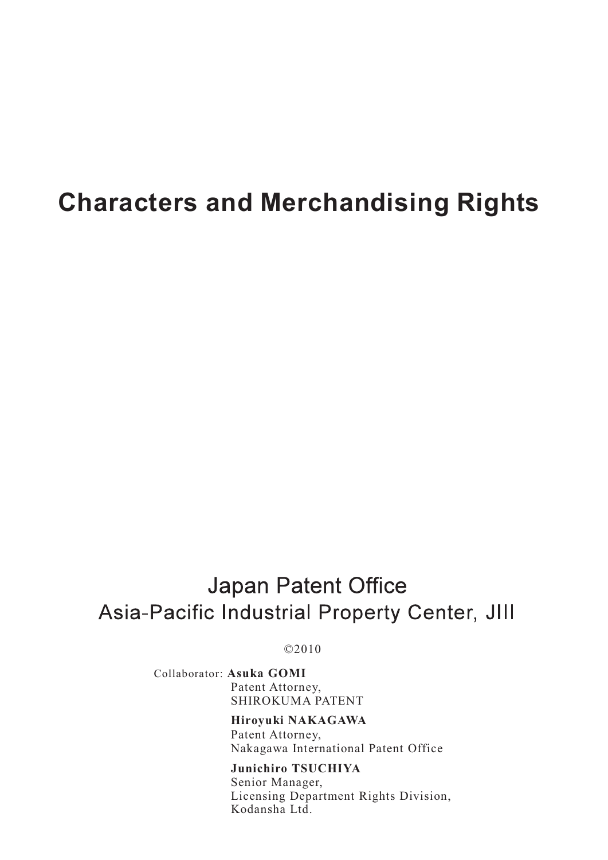# **Characters and Merchandising Rights**

# **Japan Patent Office** Asia-Pacific Industrial Property Center, JIII

©2010

Collaborator: **Asuka GOMI** Patent Attorney, SHIROKUMA PATENT

> **Hiroyuki NAKAGAWA** Patent Attorney, Nakagawa International Patent Office

**Junichiro TSUCHIYA** Senior Manager, Licensing Department Rights Division, Kodansha Ltd.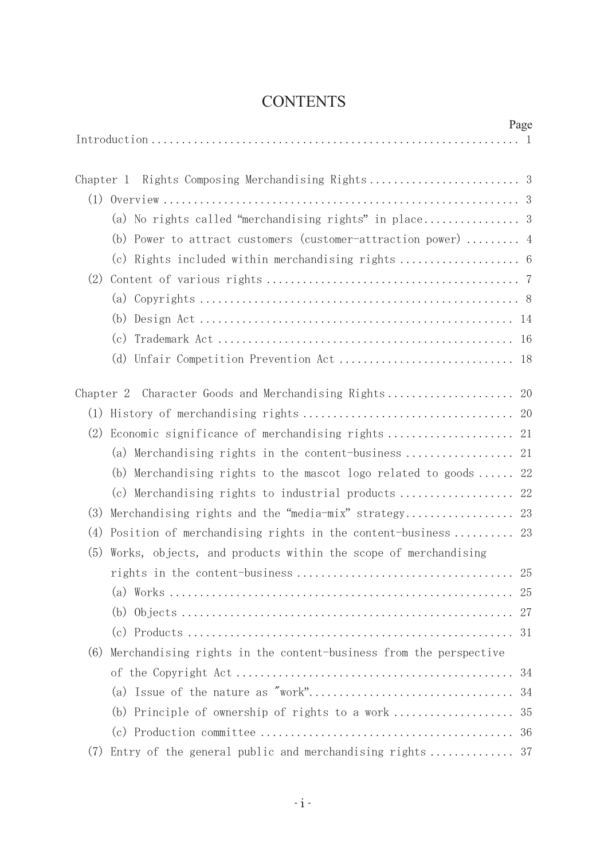# **CONTENTS**

|                                                                          | Page |
|--------------------------------------------------------------------------|------|
|                                                                          |      |
|                                                                          |      |
| Chapter 1                                                                |      |
|                                                                          |      |
|                                                                          |      |
| (b) Power to attract customers (customer-attraction power)  4            |      |
|                                                                          |      |
| (2)                                                                      |      |
|                                                                          |      |
|                                                                          |      |
|                                                                          |      |
| (d)                                                                      |      |
| Character Goods and Merchandising Rights<br>Chapter 2                    | 20   |
|                                                                          |      |
| (2)<br>Economic significance of merchandising rights                     | 21   |
| (a) Merchandising rights in the content-business                         | 21   |
| (b) Merchandising rights to the mascot logo related to goods             | 22   |
|                                                                          | 22   |
| Merchandising rights and the "media-mix" strategy<br>(3)                 | 23   |
| (4)<br>Position of merchandising rights in the content-business 23       |      |
| Works, objects, and products within the scope of merchandising<br>(5)    |      |
|                                                                          |      |
|                                                                          |      |
| (a)                                                                      | 25   |
|                                                                          | 27   |
|                                                                          | 31   |
| Merchandising rights in the content-business from the perspective<br>(6) |      |
|                                                                          | 34   |
|                                                                          | 34   |
| (b) Principle of ownership of rights to a work                           | 35   |
|                                                                          |      |
| Entry of the general public and merchandising rights 37<br>(7)           |      |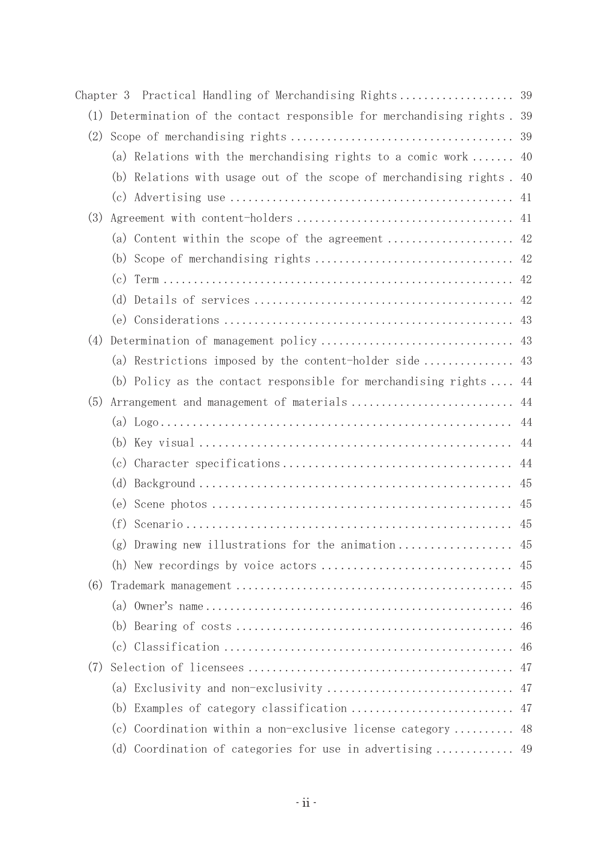| Chapter 3 |                                                                        |     |
|-----------|------------------------------------------------------------------------|-----|
| (1)       | Determination of the contact responsible for merchandising rights. 39  |     |
| (2)       |                                                                        | 39  |
|           | (a) Relations with the merchandising rights to a comic work            | 40  |
|           | (b) Relations with usage out of the scope of merchandising rights . 40 |     |
|           |                                                                        | 41  |
| (3)       |                                                                        |     |
|           |                                                                        |     |
|           |                                                                        |     |
|           |                                                                        |     |
|           | (d)                                                                    |     |
|           |                                                                        | 43  |
| (4)       |                                                                        |     |
|           | (a) Restrictions imposed by the content-holder side                    | 43  |
|           | (b) Policy as the contact responsible for merchandising rights $\dots$ | 44  |
| (5)       | Arrangement and management of materials                                | 44  |
|           |                                                                        | 44  |
|           |                                                                        | 44  |
|           |                                                                        | 44  |
|           | (d)                                                                    | 45  |
|           |                                                                        | 45  |
|           |                                                                        | 45  |
|           | $(g)$ Drawing new illustrations for the animation                      | 45  |
|           |                                                                        | -45 |
| (6)       |                                                                        | 45  |
|           |                                                                        | 46  |
|           |                                                                        | 46  |
|           |                                                                        | 46  |
| (7)       |                                                                        | 47  |
|           |                                                                        |     |
|           |                                                                        |     |
|           | (c) Coordination within a non-exclusive license category  48           |     |
|           | (d) Coordination of categories for use in advertising  49              |     |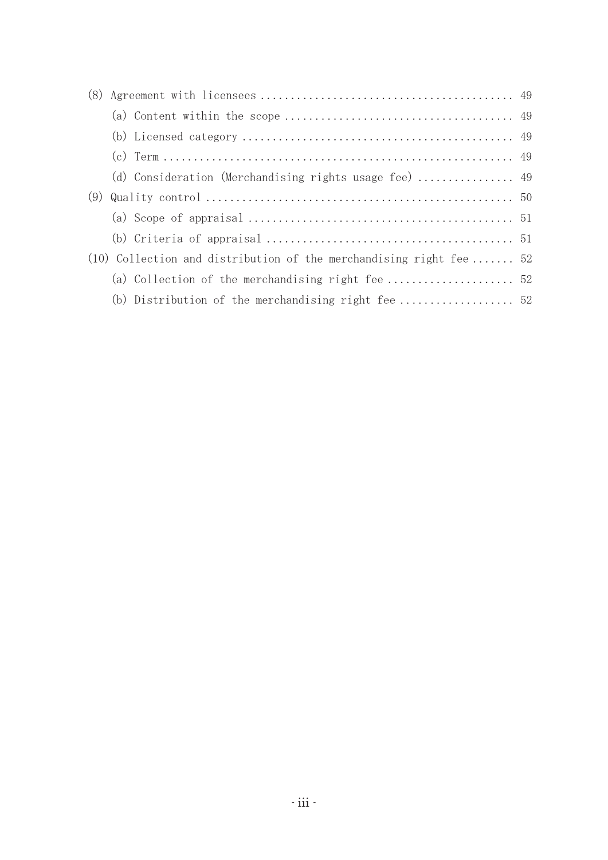| (9) |  |                                                                      |  |  |  |  |
|-----|--|----------------------------------------------------------------------|--|--|--|--|
|     |  |                                                                      |  |  |  |  |
|     |  |                                                                      |  |  |  |  |
|     |  | $(10)$ Collection and distribution of the merchandising right fee 52 |  |  |  |  |
|     |  |                                                                      |  |  |  |  |
|     |  |                                                                      |  |  |  |  |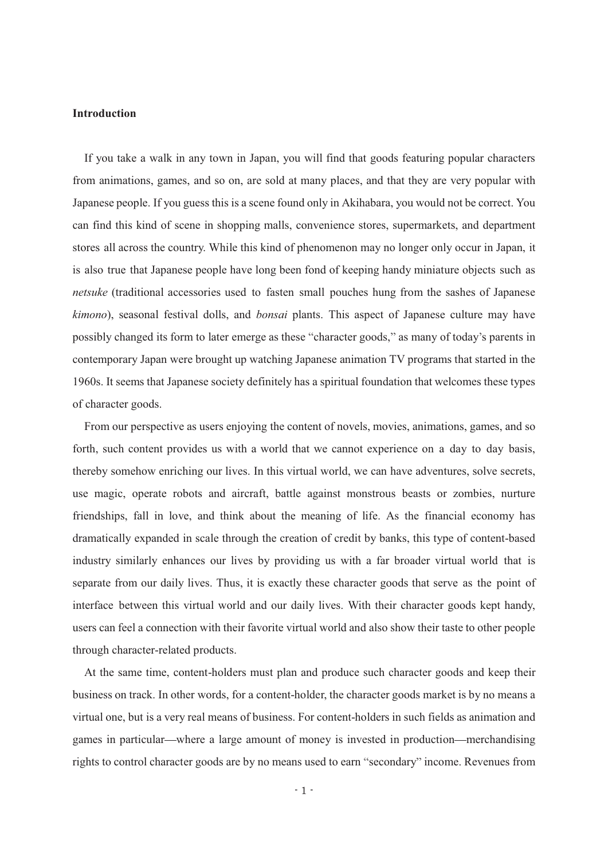#### **Introduction**

If you take a walk in any town in Japan, you will find that goods featuring popular characters from animations, games, and so on, are sold at many places, and that they are very popular with Japanese people. If you guess this is a scene found only in Akihabara, you would not be correct. You can find this kind of scene in shopping malls, convenience stores, supermarkets, and department stores all across the country. While this kind of phenomenon may no longer only occur in Japan, it is also true that Japanese people have long been fond of keeping handy miniature objects such as *netsuke* (traditional accessories used to fasten small pouches hung from the sashes of Japanese *kimono*), seasonal festival dolls, and *bonsai* plants. This aspect of Japanese culture may have possibly changed its form to later emerge as these "character goods," as many of today's parents in contemporary Japan were brought up watching Japanese animation TV programs that started in the 1960s. It seems that Japanese society definitely has a spiritual foundation that welcomes these types of character goods.

From our perspective as users enjoying the content of novels, movies, animations, games, and so forth, such content provides us with a world that we cannot experience on a day to day basis, thereby somehow enriching our lives. In this virtual world, we can have adventures, solve secrets, use magic, operate robots and aircraft, battle against monstrous beasts or zombies, nurture friendships, fall in love, and think about the meaning of life. As the financial economy has dramatically expanded in scale through the creation of credit by banks, this type of content-based industry similarly enhances our lives by providing us with a far broader virtual world that is separate from our daily lives. Thus, it is exactly these character goods that serve as the point of interface between this virtual world and our daily lives. With their character goods kept handy, users can feel a connection with their favorite virtual world and also show their taste to other people through character-related products.

At the same time, content-holders must plan and produce such character goods and keep their business on track. In other words, for a content-holder, the character goods market is by no means a virtual one, but is a very real means of business. For content-holders in such fields as animation and games in particular—where a large amount of money is invested in production—merchandising rights to control character goods are by no means used to earn "secondary" income. Revenues from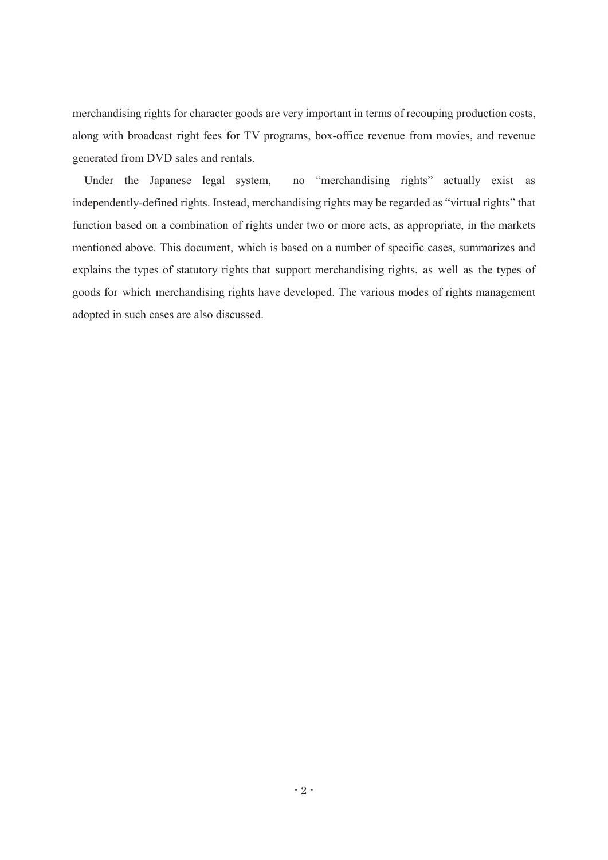merchandising rights for character goods are very important in terms of recouping production costs, along with broadcast right fees for TV programs, box-office revenue from movies, and revenue generated from DVD sales and rentals.

Under the Japanese legal system, no "merchandising rights" actually exist as independently-defined rights. Instead, merchandising rights may be regarded as "virtual rights" that function based on a combination of rights under two or more acts, as appropriate, in the markets mentioned above. This document, which is based on a number of specific cases, summarizes and explains the types of statutory rights that support merchandising rights, as well as the types of goods for which merchandising rights have developed. The various modes of rights management adopted in such cases are also discussed.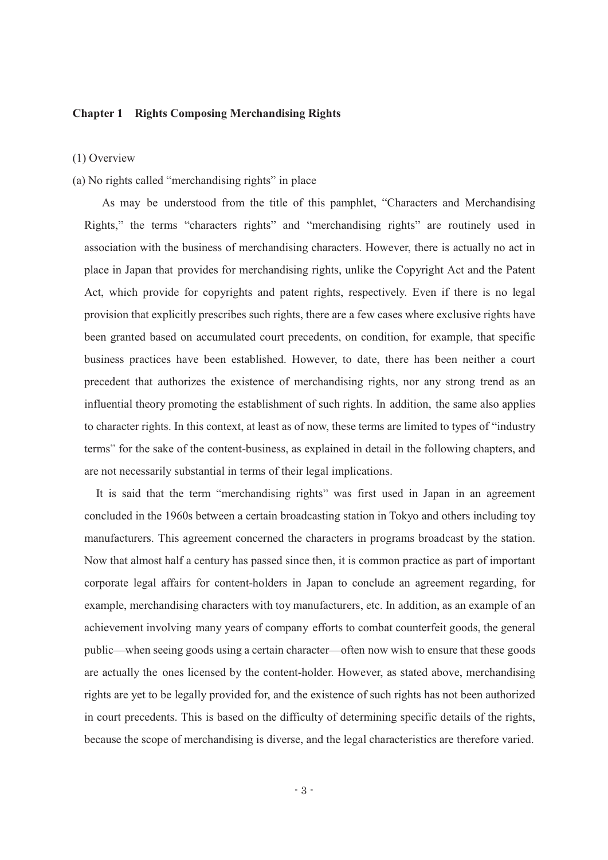# **Chapter 1 Rights Composing Merchandising Rights**

(1) Overview

# (a) No rights called "merchandising rights" in place

As may be understood from the title of this pamphlet, "Characters and Merchandising Rights," the terms "characters rights" and "merchandising rights" are routinely used in association with the business of merchandising characters. However, there is actually no act in place in Japan that provides for merchandising rights, unlike the Copyright Act and the Patent Act, which provide for copyrights and patent rights, respectively. Even if there is no legal provision that explicitly prescribes such rights, there are a few cases where exclusive rights have been granted based on accumulated court precedents, on condition, for example, that specific business practices have been established. However, to date, there has been neither a court precedent that authorizes the existence of merchandising rights, nor any strong trend as an influential theory promoting the establishment of such rights. In addition, the same also applies to character rights. In this context, at least as of now, these terms are limited to types of "industry" terms" for the sake of the content-business, as explained in detail in the following chapters, and are not necessarily substantial in terms of their legal implications.

It is said that the term "merchandising rights" was first used in Japan in an agreement concluded in the 1960s between a certain broadcasting station in Tokyo and others including toy manufacturers. This agreement concerned the characters in programs broadcast by the station. Now that almost half a century has passed since then, it is common practice as part of important corporate legal affairs for content-holders in Japan to conclude an agreement regarding, for example, merchandising characters with toy manufacturers, etc. In addition, as an example of an achievement involving many years of company efforts to combat counterfeit goods, the general public—when seeing goods using a certain character—often now wish to ensure that these goods are actually the ones licensed by the content-holder. However, as stated above, merchandising rights are yet to be legally provided for, and the existence of such rights has not been authorized in court precedents. This is based on the difficulty of determining specific details of the rights, because the scope of merchandising is diverse, and the legal characteristics are therefore varied.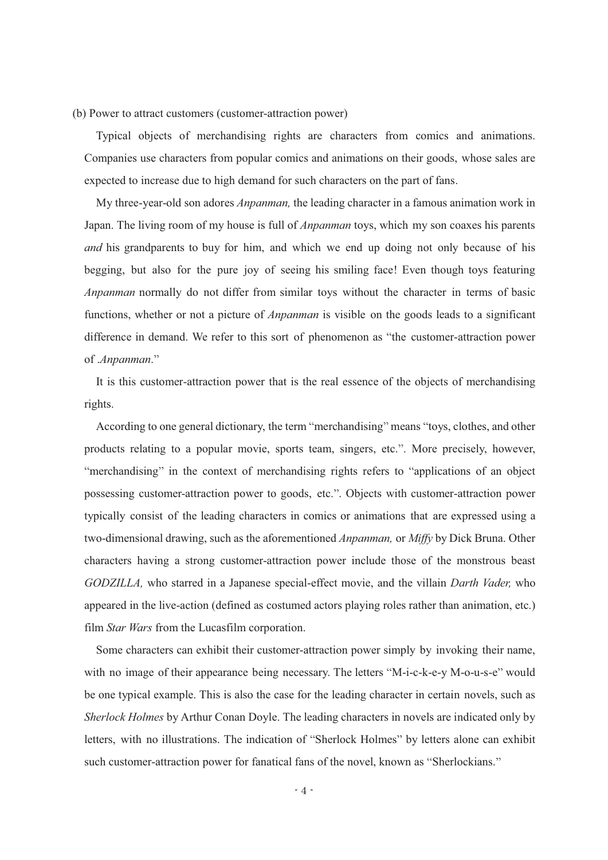(b) Power to attract customers (customer-attraction power)

Typical objects of merchandising rights are characters from comics and animations. Companies use characters from popular comics and animations on their goods, whose sales are expected to increase due to high demand for such characters on the part of fans.

My three-year-old son adores *Anpanman,* the leading character in a famous animation work in Japan. The living room of my house is full of *Anpanman* toys, which my son coaxes his parents *and* his grandparents to buy for him, and which we end up doing not only because of his begging, but also for the pure joy of seeing his smiling face! Even though toys featuring *Anpanman* normally do not differ from similar toys without the character in terms of basic functions, whether or not a picture of *Anpanman* is visible on the goods leads to a significant difference in demand. We refer to this sort of phenomenon as "the customer-attraction power of .*Anpanman*.

It is this customer-attraction power that is the real essence of the objects of merchandising rights.

According to one general dictionary, the term "merchandising" means "toys, clothes, and other products relating to a popular movie, sports team, singers, etc.". More precisely, however, "merchandising" in the context of merchandising rights refers to "applications of an object possessing customer-attraction power to goods, etc.". Objects with customer-attraction power typically consist of the leading characters in comics or animations that are expressed using a two-dimensional drawing, such as the aforementioned *Anpanman,* or *Miffy* by Dick Bruna. Other characters having a strong customer-attraction power include those of the monstrous beast *GODZILLA,* who starred in a Japanese special-effect movie, and the villain *Darth Vader,* who appeared in the live-action (defined as costumed actors playing roles rather than animation, etc.) film *Star Wars* from the Lucasfilm corporation.

Some characters can exhibit their customer-attraction power simply by invoking their name, with no image of their appearance being necessary. The letters " $M-i-c-k-e-y M-o-u-s-e$ " would be one typical example. This is also the case for the leading character in certain novels, such as *Sherlock Holmes* by Arthur Conan Doyle. The leading characters in novels are indicated only by letters, with no illustrations. The indication of "Sherlock Holmes" by letters alone can exhibit such customer-attraction power for fanatical fans of the novel, known as "Sherlockians."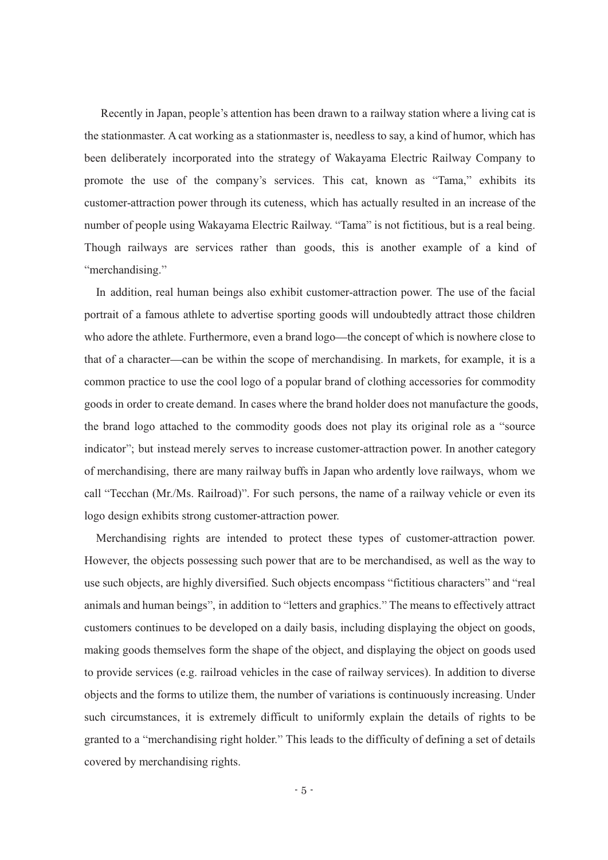Recently in Japan, people's attention has been drawn to a railway station where a living cat is the stationmaster. A cat working as a stationmaster is, needless to say, a kind of humor, which has been deliberately incorporated into the strategy of Wakayama Electric Railway Company to promote the use of the company's services. This cat, known as "Tama," exhibits its customer-attraction power through its cuteness, which has actually resulted in an increase of the number of people using Wakayama Electric Railway. "Tama" is not fictitious, but is a real being. Though railways are services rather than goods, this is another example of a kind of "merchandising."

In addition, real human beings also exhibit customer-attraction power. The use of the facial portrait of a famous athlete to advertise sporting goods will undoubtedly attract those children who adore the athlete. Furthermore, even a brand logo—the concept of which is nowhere close to that of a character—can be within the scope of merchandising. In markets, for example, it is a common practice to use the cool logo of a popular brand of clothing accessories for commodity goods in order to create demand. In cases where the brand holder does not manufacture the goods, the brand logo attached to the commodity goods does not play its original role as a "source" indicator"; but instead merely serves to increase customer-attraction power. In another category of merchandising, there are many railway buffs in Japan who ardently love railways, whom we call "Tecchan (Mr./Ms. Railroad)". For such persons, the name of a railway vehicle or even its logo design exhibits strong customer-attraction power.

Merchandising rights are intended to protect these types of customer-attraction power. However, the objects possessing such power that are to be merchandised, as well as the way to use such objects, are highly diversified. Such objects encompass "fictitious characters" and "real animals and human beings", in addition to "letters and graphics." The means to effectively attract customers continues to be developed on a daily basis, including displaying the object on goods, making goods themselves form the shape of the object, and displaying the object on goods used to provide services (e.g. railroad vehicles in the case of railway services). In addition to diverse objects and the forms to utilize them, the number of variations is continuously increasing. Under such circumstances, it is extremely difficult to uniformly explain the details of rights to be granted to a "merchandising right holder." This leads to the difficulty of defining a set of details covered by merchandising rights.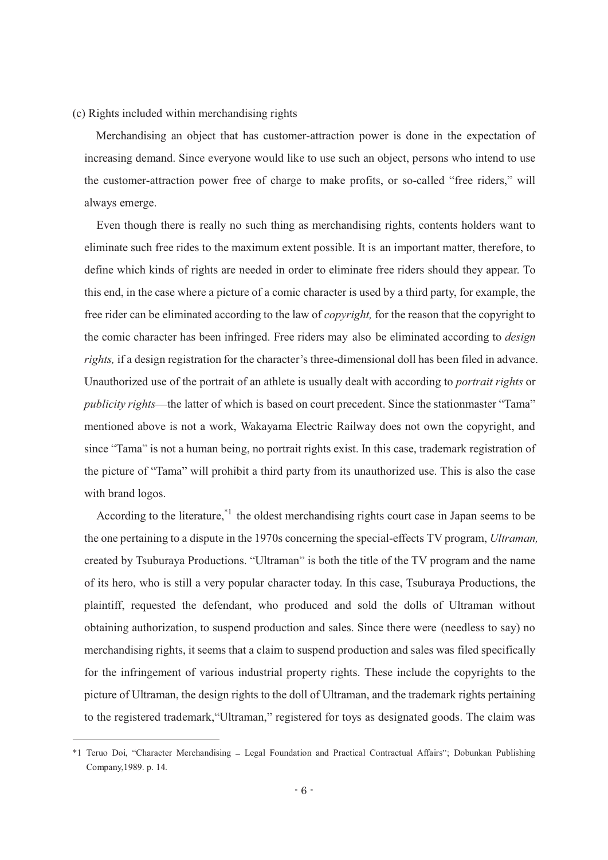# (c) Rights included within merchandising rights

Merchandising an object that has customer-attraction power is done in the expectation of increasing demand. Since everyone would like to use such an object, persons who intend to use the customer-attraction power free of charge to make profits, or so-called "free riders," will always emerge.

Even though there is really no such thing as merchandising rights, contents holders want to eliminate such free rides to the maximum extent possible. It is an important matter, therefore, to define which kinds of rights are needed in order to eliminate free riders should they appear. To this end, in the case where a picture of a comic character is used by a third party, for example, the free rider can be eliminated according to the law of *copyright,* for the reason that the copyright to the comic character has been infringed. Free riders may also be eliminated according to *design rights*, if a design registration for the character's three-dimensional doll has been filed in advance. Unauthorized use of the portrait of an athlete is usually dealt with according to *portrait rights* or *publicity rights*—the latter of which is based on court precedent. Since the stationmaster "Tama" mentioned above is not a work, Wakayama Electric Railway does not own the copyright, and since "Tama" is not a human being, no portrait rights exist. In this case, trademark registration of the picture of "Tama" will prohibit a third party from its unauthorized use. This is also the case with brand logos.

According to the literature,<sup>\*1</sup> the oldest merchandising rights court case in Japan seems to be the one pertaining to a dispute in the 1970s concerning the special-effects TV program, *Ultraman,* created by Tsuburaya Productions. "Ultraman" is both the title of the TV program and the name of its hero, who is still a very popular character today. In this case, Tsuburaya Productions, the plaintiff, requested the defendant, who produced and sold the dolls of Ultraman without obtaining authorization, to suspend production and sales. Since there were (needless to say) no merchandising rights, it seems that a claim to suspend production and sales was filed specifically for the infringement of various industrial property rights. These include the copyrights to the picture of Ultraman, the design rights to the doll of Ultraman, and the trademark rights pertaining to the registered trademark, "Ultraman," registered for toys as designated goods. The claim was

 $\overline{a}$ 

<sup>\*1</sup> Teruo Doi, "Character Merchandising - Legal Foundation and Practical Contractual Affairs"; Dobunkan Publishing Company,1989. p. 14.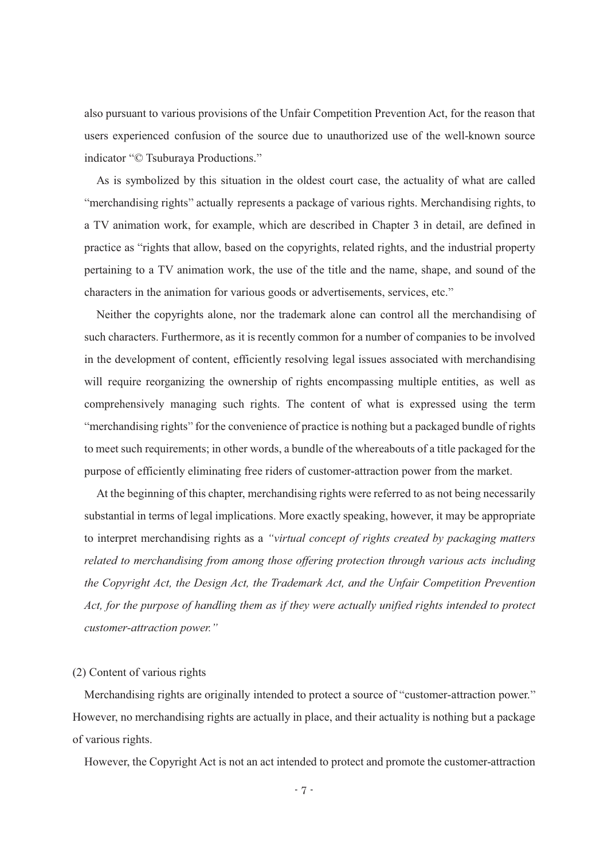also pursuant to various provisions of the Unfair Competition Prevention Act, for the reason that users experienced confusion of the source due to unauthorized use of the well-known source indicator "© Tsuburaya Productions."

As is symbolized by this situation in the oldest court case, the actuality of what are called "merchandising rights" actually represents a package of various rights. Merchandising rights, to a TV animation work, for example, which are described in Chapter 3 in detail, are defined in practice as "rights that allow, based on the copyrights, related rights, and the industrial property pertaining to a TV animation work, the use of the title and the name, shape, and sound of the characters in the animation for various goods or advertisements, services, etc.

Neither the copyrights alone, nor the trademark alone can control all the merchandising of such characters. Furthermore, as it is recently common for a number of companies to be involved in the development of content, efficiently resolving legal issues associated with merchandising will require reorganizing the ownership of rights encompassing multiple entities, as well as comprehensively managing such rights. The content of what is expressed using the term "merchandising rights" for the convenience of practice is nothing but a packaged bundle of rights to meet such requirements; in other words, a bundle of the whereabouts of a title packaged for the purpose of efficiently eliminating free riders of customer-attraction power from the market.

At the beginning of this chapter, merchandising rights were referred to as not being necessarily substantial in terms of legal implications. More exactly speaking, however, it may be appropriate to interpret merchandising rights as a *virtual concept of rights created by packaging matters related to merchandising from among those offering protection through various acts including the Copyright Act, the Design Act, the Trademark Act, and the Unfair Competition Prevention Act, for the purpose of handling them as if they were actually unified rights intended to protect customer-attraction power.* 

# (2) Content of various rights

Merchandising rights are originally intended to protect a source of "customer-attraction power." However, no merchandising rights are actually in place, and their actuality is nothing but a package of various rights.

However, the Copyright Act is not an act intended to protect and promote the customer-attraction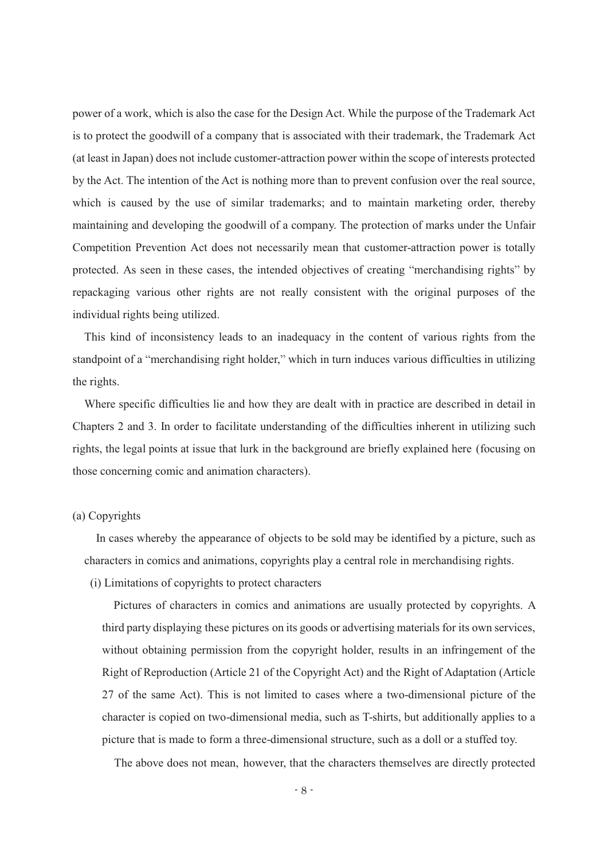power of a work, which is also the case for the Design Act. While the purpose of the Trademark Act is to protect the goodwill of a company that is associated with their trademark, the Trademark Act (at least in Japan) does not include customer-attraction power within the scope of interests protected by the Act. The intention of the Act is nothing more than to prevent confusion over the real source, which is caused by the use of similar trademarks; and to maintain marketing order, thereby maintaining and developing the goodwill of a company. The protection of marks under the Unfair Competition Prevention Act does not necessarily mean that customer-attraction power is totally protected. As seen in these cases, the intended objectives of creating "merchandising rights" by repackaging various other rights are not really consistent with the original purposes of the individual rights being utilized.

This kind of inconsistency leads to an inadequacy in the content of various rights from the standpoint of a "merchandising right holder," which in turn induces various difficulties in utilizing the rights.

Where specific difficulties lie and how they are dealt with in practice are described in detail in Chapters 2 and 3. In order to facilitate understanding of the difficulties inherent in utilizing such rights, the legal points at issue that lurk in the background are briefly explained here (focusing on those concerning comic and animation characters).

#### (a) Copyrights

In cases whereby the appearance of objects to be sold may be identified by a picture, such as characters in comics and animations, copyrights play a central role in merchandising rights.

(i) Limitations of copyrights to protect characters

Pictures of characters in comics and animations are usually protected by copyrights. A third party displaying these pictures on its goods or advertising materials for its own services, without obtaining permission from the copyright holder, results in an infringement of the Right of Reproduction (Article 21 of the Copyright Act) and the Right of Adaptation (Article 27 of the same Act). This is not limited to cases where a two-dimensional picture of the character is copied on two-dimensional media, such as T-shirts, but additionally applies to a picture that is made to form a three-dimensional structure, such as a doll or a stuffed toy.

The above does not mean, however, that the characters themselves are directly protected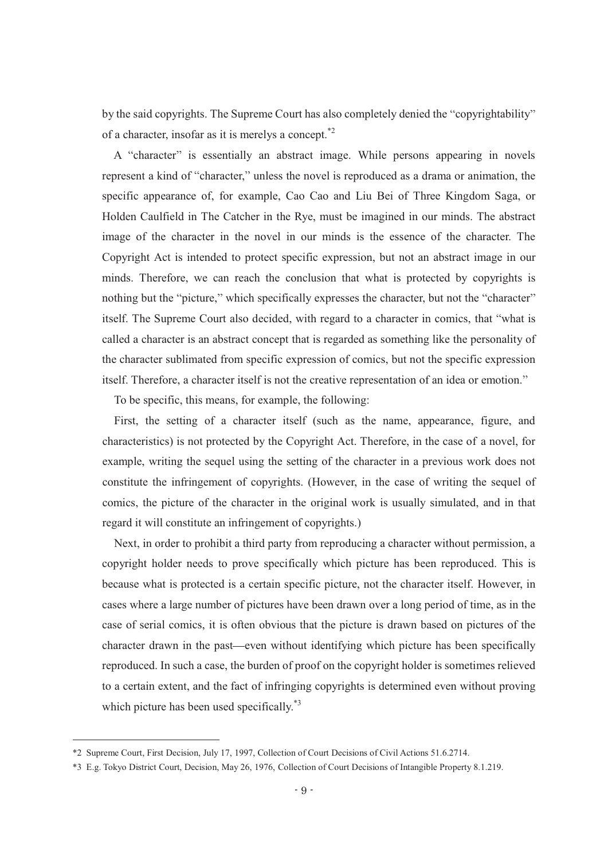by the said copyrights. The Supreme Court has also completely denied the "copyrightability" of a character, insofar as it is merelys a concept.\*2

A "character" is essentially an abstract image. While persons appearing in novels represent a kind of "character," unless the novel is reproduced as a drama or animation, the specific appearance of, for example, Cao Cao and Liu Bei of Three Kingdom Saga, or Holden Caulfield in The Catcher in the Rye, must be imagined in our minds. The abstract image of the character in the novel in our minds is the essence of the character. The Copyright Act is intended to protect specific expression, but not an abstract image in our minds. Therefore, we can reach the conclusion that what is protected by copyrights is nothing but the "picture," which specifically expresses the character, but not the "character" itself. The Supreme Court also decided, with regard to a character in comics, that "what is called a character is an abstract concept that is regarded as something like the personality of the character sublimated from specific expression of comics, but not the specific expression itself. Therefore, a character itself is not the creative representation of an idea or emotion.

To be specific, this means, for example, the following:

First, the setting of a character itself (such as the name, appearance, figure, and characteristics) is not protected by the Copyright Act. Therefore, in the case of a novel, for example, writing the sequel using the setting of the character in a previous work does not constitute the infringement of copyrights. (However, in the case of writing the sequel of comics, the picture of the character in the original work is usually simulated, and in that regard it will constitute an infringement of copyrights.)

Next, in order to prohibit a third party from reproducing a character without permission, a copyright holder needs to prove specifically which picture has been reproduced. This is because what is protected is a certain specific picture, not the character itself. However, in cases where a large number of pictures have been drawn over a long period of time, as in the case of serial comics, it is often obvious that the picture is drawn based on pictures of the character drawn in the past—even without identifying which picture has been specifically reproduced. In such a case, the burden of proof on the copyright holder is sometimes relieved to a certain extent, and the fact of infringing copyrights is determined even without proving which picture has been used specifically.<sup>\*3</sup>

 $\overline{a}$ 

<sup>\*2</sup> Supreme Court, First Decision, July 17, 1997, Collection of Court Decisions of Civil Actions 51.6.2714.

<sup>\*3</sup> E.g. Tokyo District Court, Decision, May 26, 1976, Collection of Court Decisions of Intangible Property 8.1.219.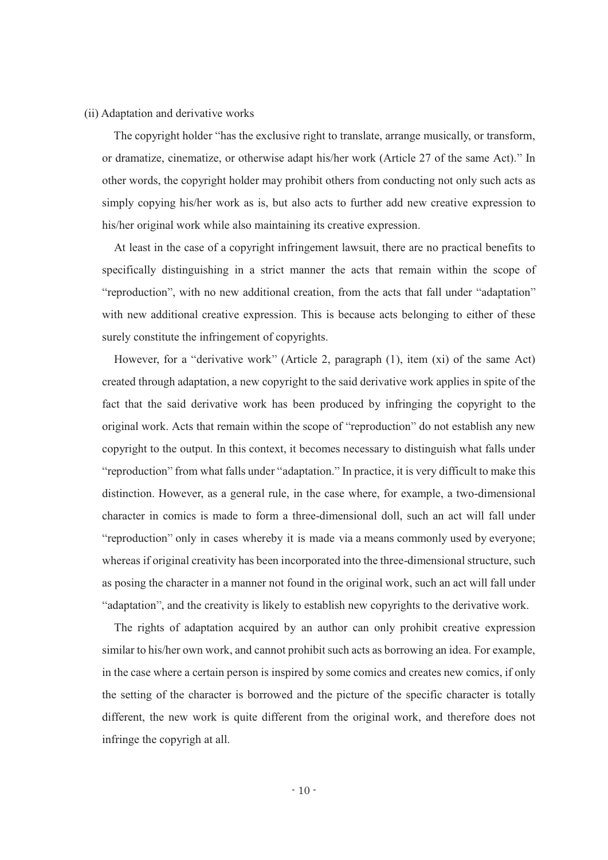#### (ii) Adaptation and derivative works

The copyright holder "has the exclusive right to translate, arrange musically, or transform, or dramatize, cinematize, or otherwise adapt his/her work (Article 27 of the same Act)." In other words, the copyright holder may prohibit others from conducting not only such acts as simply copying his/her work as is, but also acts to further add new creative expression to his/her original work while also maintaining its creative expression.

At least in the case of a copyright infringement lawsuit, there are no practical benefits to specifically distinguishing in a strict manner the acts that remain within the scope of "reproduction", with no new additional creation, from the acts that fall under "adaptation" with new additional creative expression. This is because acts belonging to either of these surely constitute the infringement of copyrights.

However, for a "derivative work" (Article 2, paragraph  $(1)$ , item  $(xi)$  of the same Act) created through adaptation, a new copyright to the said derivative work applies in spite of the fact that the said derivative work has been produced by infringing the copyright to the original work. Acts that remain within the scope of "reproduction" do not establish any new copyright to the output. In this context, it becomes necessary to distinguish what falls under "reproduction" from what falls under "adaptation." In practice, it is very difficult to make this distinction. However, as a general rule, in the case where, for example, a two-dimensional character in comics is made to form a three-dimensional doll, such an act will fall under "reproduction" only in cases whereby it is made via a means commonly used by everyone; whereas if original creativity has been incorporated into the three-dimensional structure, such as posing the character in a manner not found in the original work, such an act will fall under "adaptation", and the creativity is likely to establish new copyrights to the derivative work.

The rights of adaptation acquired by an author can only prohibit creative expression similar to his/her own work, and cannot prohibit such acts as borrowing an idea. For example, in the case where a certain person is inspired by some comics and creates new comics, if only the setting of the character is borrowed and the picture of the specific character is totally different, the new work is quite different from the original work, and therefore does not infringe the copyrigh at all.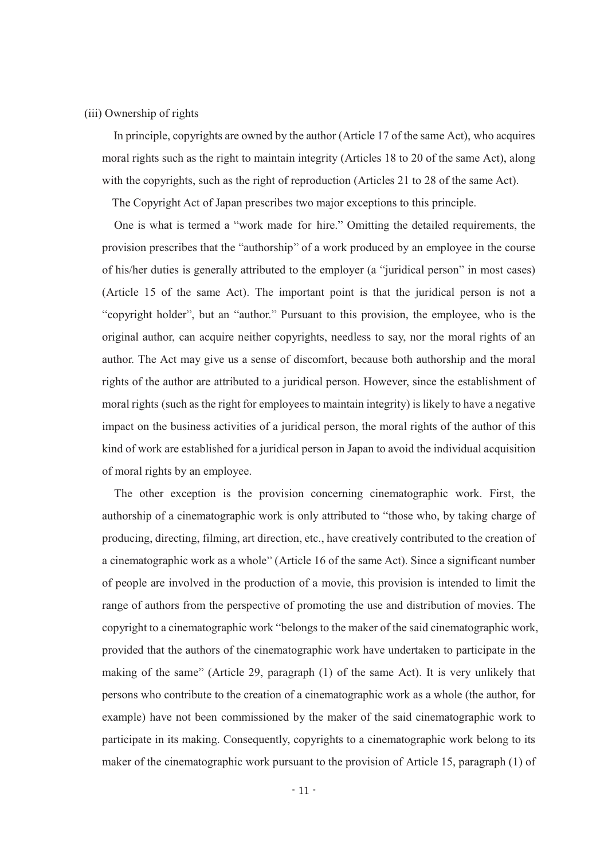#### (iii) Ownership of rights

In principle, copyrights are owned by the author (Article 17 of the same Act), who acquires moral rights such as the right to maintain integrity (Articles 18 to 20 of the same Act), along with the copyrights, such as the right of reproduction (Articles 21 to 28 of the same Act).

The Copyright Act of Japan prescribes two major exceptions to this principle.

One is what is termed a "work made for hire." Omitting the detailed requirements, the provision prescribes that the "authorship" of a work produced by an employee in the course of his/her duties is generally attributed to the employer (a "juridical person" in most cases) (Article 15 of the same Act). The important point is that the juridical person is not a "copyright holder", but an "author." Pursuant to this provision, the employee, who is the original author, can acquire neither copyrights, needless to say, nor the moral rights of an author. The Act may give us a sense of discomfort, because both authorship and the moral rights of the author are attributed to a juridical person. However, since the establishment of moral rights (such as the right for employees to maintain integrity) is likely to have a negative impact on the business activities of a juridical person, the moral rights of the author of this kind of work are established for a juridical person in Japan to avoid the individual acquisition of moral rights by an employee.

The other exception is the provision concerning cinematographic work. First, the authorship of a cinematographic work is only attributed to "those who, by taking charge of producing, directing, filming, art direction, etc., have creatively contributed to the creation of a cinematographic work as a whole" (Article 16 of the same Act). Since a significant number of people are involved in the production of a movie, this provision is intended to limit the range of authors from the perspective of promoting the use and distribution of movies. The copyright to a cinematographic work "belongs to the maker of the said cinematographic work, provided that the authors of the cinematographic work have undertaken to participate in the making of the same" (Article 29, paragraph (1) of the same Act). It is very unlikely that persons who contribute to the creation of a cinematographic work as a whole (the author, for example) have not been commissioned by the maker of the said cinematographic work to participate in its making. Consequently, copyrights to a cinematographic work belong to its maker of the cinematographic work pursuant to the provision of Article 15, paragraph (1) of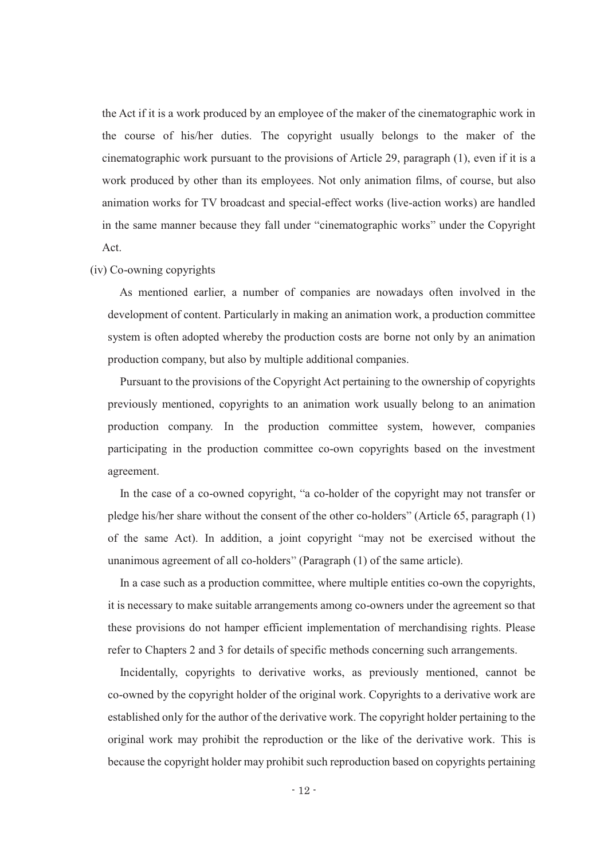the Act if it is a work produced by an employee of the maker of the cinematographic work in the course of his/her duties. The copyright usually belongs to the maker of the cinematographic work pursuant to the provisions of Article 29, paragraph (1), even if it is a work produced by other than its employees. Not only animation films, of course, but also animation works for TV broadcast and special-effect works (live-action works) are handled in the same manner because they fall under "cinematographic works" under the Copyright Act.

# (iv) Co-owning copyrights

As mentioned earlier, a number of companies are nowadays often involved in the development of content. Particularly in making an animation work, a production committee system is often adopted whereby the production costs are borne not only by an animation production company, but also by multiple additional companies.

Pursuant to the provisions of the Copyright Act pertaining to the ownership of copyrights previously mentioned, copyrights to an animation work usually belong to an animation production company. In the production committee system, however, companies participating in the production committee co-own copyrights based on the investment agreement.

In the case of a co-owned copyright, "a co-holder of the copyright may not transfer or pledge his/her share without the consent of the other co-holders" (Article 65, paragraph  $(1)$ ) of the same Act). In addition, a joint copyright "may not be exercised without the unanimous agreement of all co-holders" (Paragraph  $(1)$  of the same article).

In a case such as a production committee, where multiple entities co-own the copyrights, it is necessary to make suitable arrangements among co-owners under the agreement so that these provisions do not hamper efficient implementation of merchandising rights. Please refer to Chapters 2 and 3 for details of specific methods concerning such arrangements.

Incidentally, copyrights to derivative works, as previously mentioned, cannot be co-owned by the copyright holder of the original work. Copyrights to a derivative work are established only for the author of the derivative work. The copyright holder pertaining to the original work may prohibit the reproduction or the like of the derivative work. This is because the copyright holder may prohibit such reproduction based on copyrights pertaining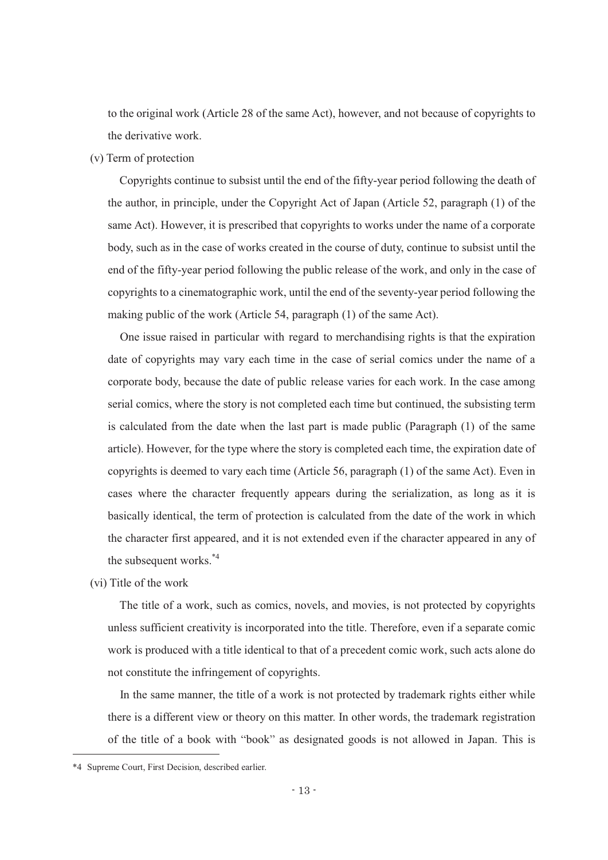to the original work (Article 28 of the same Act), however, and not because of copyrights to the derivative work.

# (v) Term of protection

Copyrights continue to subsist until the end of the fifty-year period following the death of the author, in principle, under the Copyright Act of Japan (Article 52, paragraph (1) of the same Act). However, it is prescribed that copyrights to works under the name of a corporate body, such as in the case of works created in the course of duty, continue to subsist until the end of the fifty-year period following the public release of the work, and only in the case of copyrights to a cinematographic work, until the end of the seventy-year period following the making public of the work (Article 54, paragraph (1) of the same Act).

One issue raised in particular with regard to merchandising rights is that the expiration date of copyrights may vary each time in the case of serial comics under the name of a corporate body, because the date of public release varies for each work. In the case among serial comics, where the story is not completed each time but continued, the subsisting term is calculated from the date when the last part is made public (Paragraph (1) of the same article). However, for the type where the story is completed each time, the expiration date of copyrights is deemed to vary each time (Article 56, paragraph (1) of the same Act). Even in cases where the character frequently appears during the serialization, as long as it is basically identical, the term of protection is calculated from the date of the work in which the character first appeared, and it is not extended even if the character appeared in any of the subsequent works.\*4

(vi) Title of the work

The title of a work, such as comics, novels, and movies, is not protected by copyrights unless sufficient creativity is incorporated into the title. Therefore, even if a separate comic work is produced with a title identical to that of a precedent comic work, such acts alone do not constitute the infringement of copyrights.

In the same manner, the title of a work is not protected by trademark rights either while there is a different view or theory on this matter. In other words, the trademark registration of the title of a book with "book" as designated goods is not allowed in Japan. This is

-

<sup>\*4</sup> Supreme Court, First Decision, described earlier.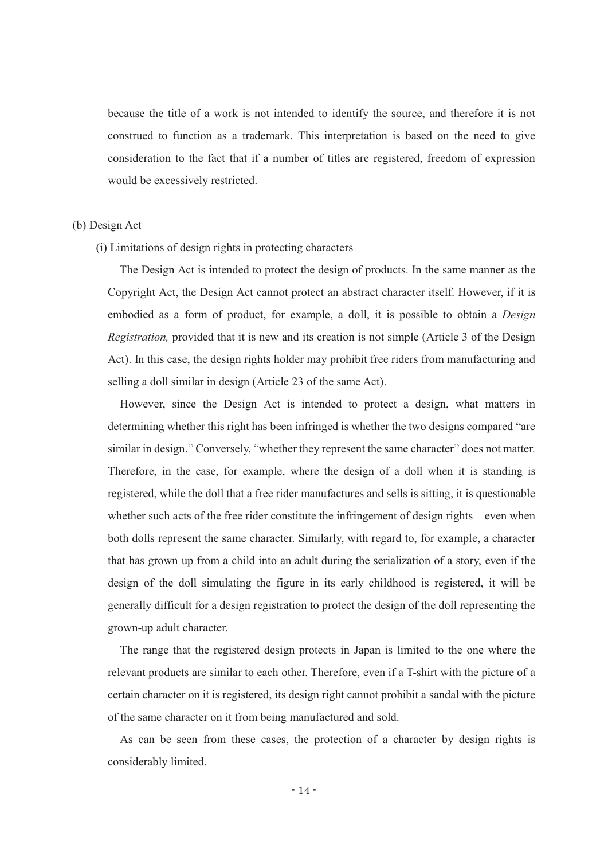because the title of a work is not intended to identify the source, and therefore it is not construed to function as a trademark. This interpretation is based on the need to give consideration to the fact that if a number of titles are registered, freedom of expression would be excessively restricted.

# (b) Design Act

(i) Limitations of design rights in protecting characters

The Design Act is intended to protect the design of products. In the same manner as the Copyright Act, the Design Act cannot protect an abstract character itself. However, if it is embodied as a form of product, for example, a doll, it is possible to obtain a *Design Registration,* provided that it is new and its creation is not simple (Article 3 of the Design Act). In this case, the design rights holder may prohibit free riders from manufacturing and selling a doll similar in design (Article 23 of the same Act).

However, since the Design Act is intended to protect a design, what matters in determining whether this right has been infringed is whether the two designs compared "are similar in design." Conversely, "whether they represent the same character" does not matter. Therefore, in the case, for example, where the design of a doll when it is standing is registered, while the doll that a free rider manufactures and sells is sitting, it is questionable whether such acts of the free rider constitute the infringement of design rights—even when both dolls represent the same character. Similarly, with regard to, for example, a character that has grown up from a child into an adult during the serialization of a story, even if the design of the doll simulating the figure in its early childhood is registered, it will be generally difficult for a design registration to protect the design of the doll representing the grown-up adult character.

The range that the registered design protects in Japan is limited to the one where the relevant products are similar to each other. Therefore, even if a T-shirt with the picture of a certain character on it is registered, its design right cannot prohibit a sandal with the picture of the same character on it from being manufactured and sold.

As can be seen from these cases, the protection of a character by design rights is considerably limited.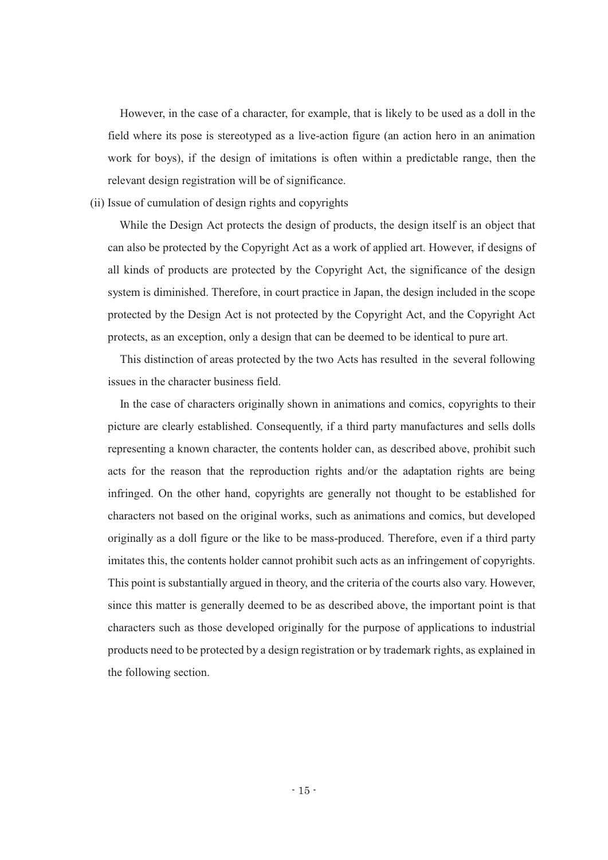However, in the case of a character, for example, that is likely to be used as a doll in the field where its pose is stereotyped as a live-action figure (an action hero in an animation work for boys), if the design of imitations is often within a predictable range, then the relevant design registration will be of significance.

(ii) Issue of cumulation of design rights and copyrights

While the Design Act protects the design of products, the design itself is an object that can also be protected by the Copyright Act as a work of applied art. However, if designs of all kinds of products are protected by the Copyright Act, the significance of the design system is diminished. Therefore, in court practice in Japan, the design included in the scope protected by the Design Act is not protected by the Copyright Act, and the Copyright Act protects, as an exception, only a design that can be deemed to be identical to pure art.

This distinction of areas protected by the two Acts has resulted in the several following issues in the character business field.

In the case of characters originally shown in animations and comics, copyrights to their picture are clearly established. Consequently, if a third party manufactures and sells dolls representing a known character, the contents holder can, as described above, prohibit such acts for the reason that the reproduction rights and/or the adaptation rights are being infringed. On the other hand, copyrights are generally not thought to be established for characters not based on the original works, such as animations and comics, but developed originally as a doll figure or the like to be mass-produced. Therefore, even if a third party imitates this, the contents holder cannot prohibit such acts as an infringement of copyrights. This point is substantially argued in theory, and the criteria of the courts also vary. However, since this matter is generally deemed to be as described above, the important point is that characters such as those developed originally for the purpose of applications to industrial products need to be protected by a design registration or by trademark rights, as explained in the following section.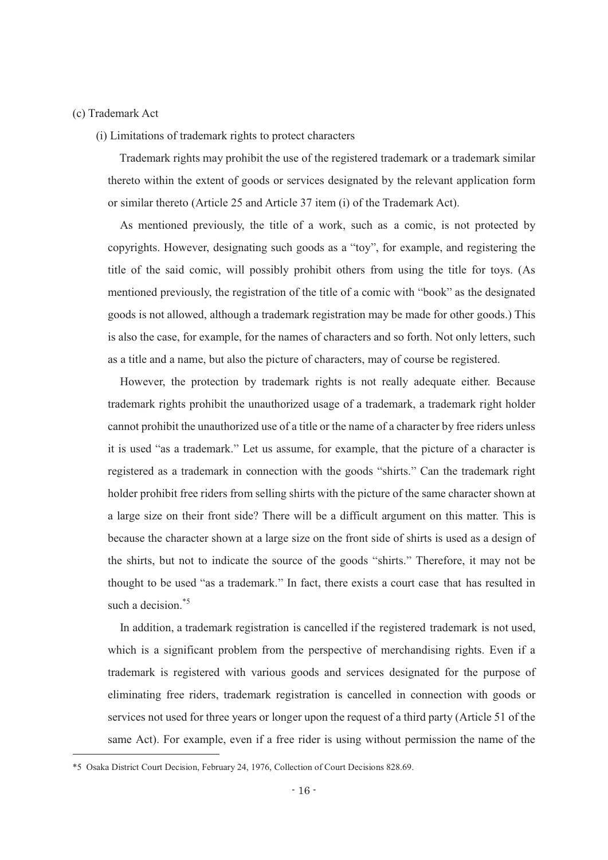# (c) Trademark Act

-

(i) Limitations of trademark rights to protect characters

Trademark rights may prohibit the use of the registered trademark or a trademark similar thereto within the extent of goods or services designated by the relevant application form or similar thereto (Article 25 and Article 37 item (i) of the Trademark Act).

As mentioned previously, the title of a work, such as a comic, is not protected by copyrights. However, designating such goods as a "toy", for example, and registering the title of the said comic, will possibly prohibit others from using the title for toys. (As mentioned previously, the registration of the title of a comic with "book" as the designated goods is not allowed, although a trademark registration may be made for other goods.) This is also the case, for example, for the names of characters and so forth. Not only letters, such as a title and a name, but also the picture of characters, may of course be registered.

However, the protection by trademark rights is not really adequate either. Because trademark rights prohibit the unauthorized usage of a trademark, a trademark right holder cannot prohibit the unauthorized use of a title or the name of a character by free riders unless it is used "as a trademark." Let us assume, for example, that the picture of a character is registered as a trademark in connection with the goods "shirts." Can the trademark right holder prohibit free riders from selling shirts with the picture of the same character shown at a large size on their front side? There will be a difficult argument on this matter. This is because the character shown at a large size on the front side of shirts is used as a design of the shirts, but not to indicate the source of the goods "shirts." Therefore, it may not be thought to be used "as a trademark." In fact, there exists a court case that has resulted in such a decision.<sup>\*5</sup>

In addition, a trademark registration is cancelled if the registered trademark is not used, which is a significant problem from the perspective of merchandising rights. Even if a trademark is registered with various goods and services designated for the purpose of eliminating free riders, trademark registration is cancelled in connection with goods or services not used for three years or longer upon the request of a third party (Article 51 of the same Act). For example, even if a free rider is using without permission the name of the

<sup>\*5</sup> Osaka District Court Decision, February 24, 1976, Collection of Court Decisions 828.69.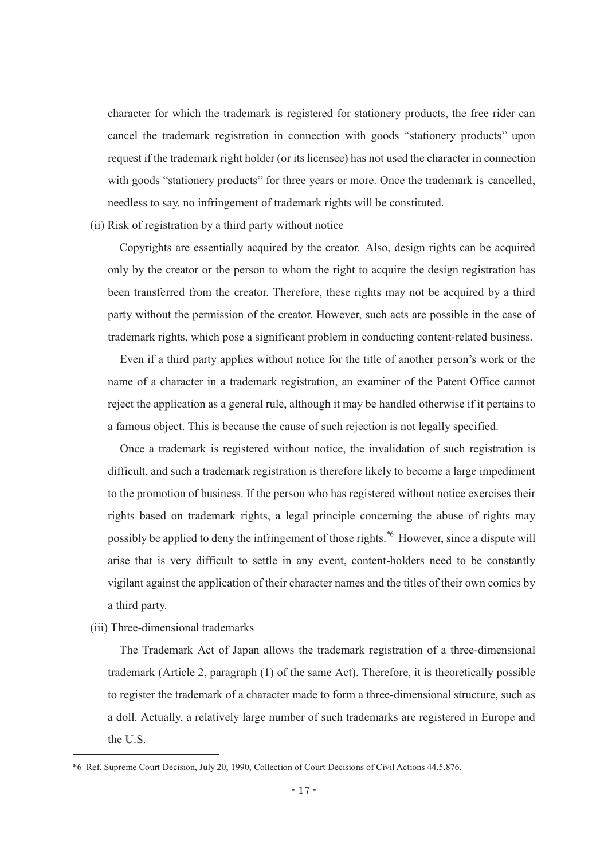character for which the trademark is registered for stationery products, the free rider can cancel the trademark registration in connection with goods "stationery products" upon request if the trademark right holder (or its licensee) has not used the character in connection with goods "stationery products" for three years or more. Once the trademark is cancelled, needless to say, no infringement of trademark rights will be constituted.

(ii) Risk of registration by a third party without notice

Copyrights are essentially acquired by the creator. Also, design rights can be acquired only by the creator or the person to whom the right to acquire the design registration has been transferred from the creator. Therefore, these rights may not be acquired by a third party without the permission of the creator. However, such acts are possible in the case of trademark rights, which pose a significant problem in conducting content-related business.

Even if a third party applies without notice for the title of another person's work or the name of a character in a trademark registration, an examiner of the Patent Office cannot reject the application as a general rule, although it may be handled otherwise if it pertains to a famous object. This is because the cause of such rejection is not legally specified.

Once a trademark is registered without notice, the invalidation of such registration is difficult, and such a trademark registration is therefore likely to become a large impediment to the promotion of business. If the person who has registered without notice exercises their rights based on trademark rights, a legal principle concerning the abuse of rights may possibly be applied to deny the infringement of those rights.\*6 However, since a dispute will arise that is very difficult to settle in any event, content-holders need to be constantly vigilant against the application of their character names and the titles of their own comics by a third party.

(iii) Three-dimensional trademarks

-

The Trademark Act of Japan allows the trademark registration of a three-dimensional trademark (Article 2, paragraph (1) of the same Act). Therefore, it is theoretically possible to register the trademark of a character made to form a three-dimensional structure, such as a doll. Actually, a relatively large number of such trademarks are registered in Europe and the U.S.

<sup>\*6</sup> Ref. Supreme Court Decision, July 20, 1990, Collection of Court Decisions of Civil Actions 44.5.876.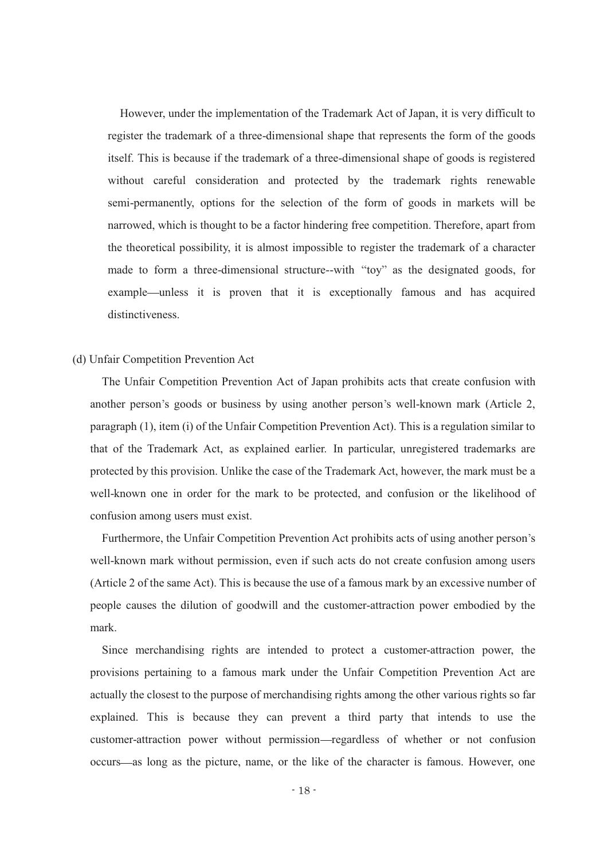However, under the implementation of the Trademark Act of Japan, it is very difficult to register the trademark of a three-dimensional shape that represents the form of the goods itself. This is because if the trademark of a three-dimensional shape of goods is registered without careful consideration and protected by the trademark rights renewable semi-permanently, options for the selection of the form of goods in markets will be narrowed, which is thought to be a factor hindering free competition. Therefore, apart from the theoretical possibility, it is almost impossible to register the trademark of a character made to form a three-dimensional structure--with "toy" as the designated goods, for example—unless it is proven that it is exceptionally famous and has acquired distinctiveness.

# (d) Unfair Competition Prevention Act

The Unfair Competition Prevention Act of Japan prohibits acts that create confusion with another person's goods or business by using another person's well-known mark (Article 2, paragraph (1), item (i) of the Unfair Competition Prevention Act). This is a regulation similar to that of the Trademark Act, as explained earlier. In particular, unregistered trademarks are protected by this provision. Unlike the case of the Trademark Act, however, the mark must be a well-known one in order for the mark to be protected, and confusion or the likelihood of confusion among users must exist.

Furthermore, the Unfair Competition Prevention Act prohibits acts of using another person's well-known mark without permission, even if such acts do not create confusion among users (Article 2 of the same Act). This is because the use of a famous mark by an excessive number of people causes the dilution of goodwill and the customer-attraction power embodied by the mark.

Since merchandising rights are intended to protect a customer-attraction power, the provisions pertaining to a famous mark under the Unfair Competition Prevention Act are actually the closest to the purpose of merchandising rights among the other various rights so far explained. This is because they can prevent a third party that intends to use the customer-attraction power without permission regardless of whether or not confusion occurs as long as the picture, name, or the like of the character is famous. However, one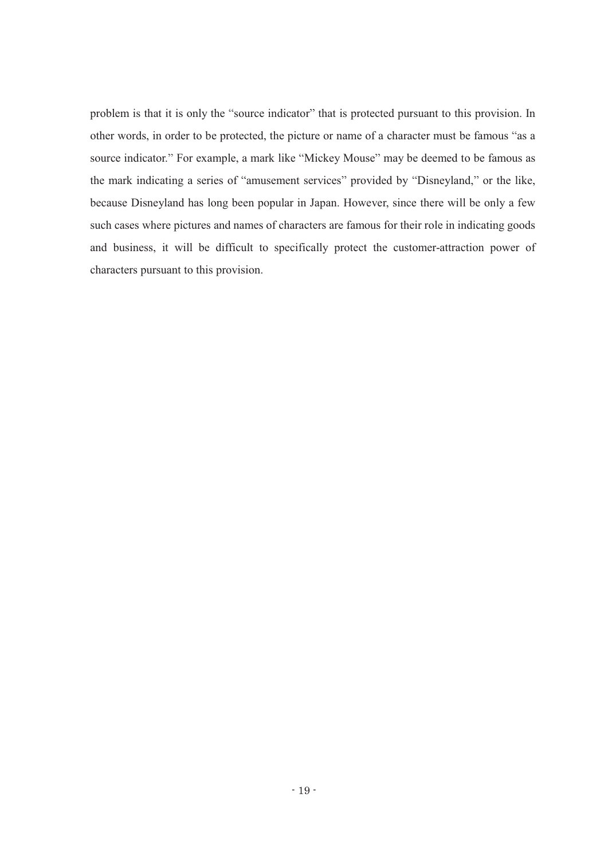problem is that it is only the "source indicator" that is protected pursuant to this provision. In other words, in order to be protected, the picture or name of a character must be famous "as a source indicator." For example, a mark like "Mickey Mouse" may be deemed to be famous as the mark indicating a series of "amusement services" provided by "Disneyland," or the like, because Disneyland has long been popular in Japan. However, since there will be only a few such cases where pictures and names of characters are famous for their role in indicating goods and business, it will be difficult to specifically protect the customer-attraction power of characters pursuant to this provision.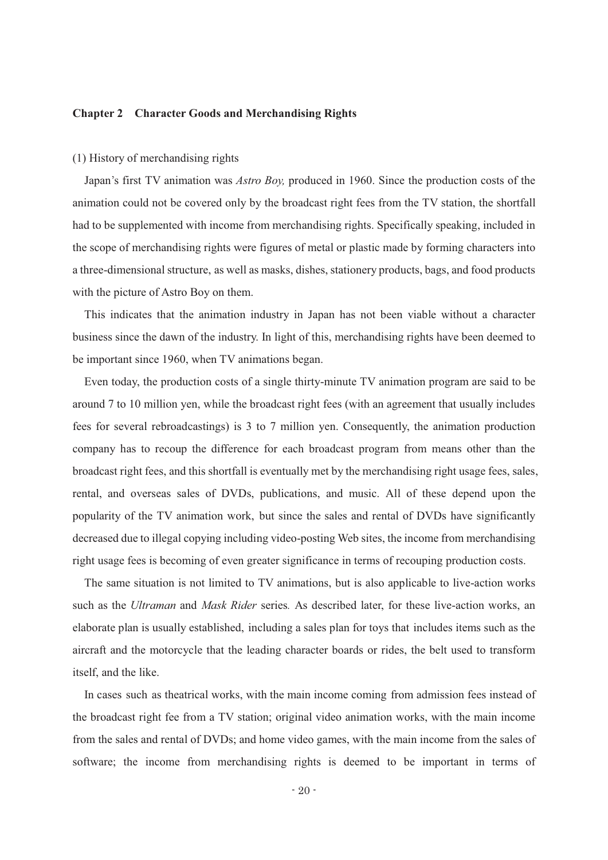#### **Chapter 2 Character Goods and Merchandising Rights**

#### (1) History of merchandising rights

Japan's first TV animation was *Astro Boy*, produced in 1960. Since the production costs of the animation could not be covered only by the broadcast right fees from the TV station, the shortfall had to be supplemented with income from merchandising rights. Specifically speaking, included in the scope of merchandising rights were figures of metal or plastic made by forming characters into a three-dimensional structure, as well as masks, dishes, stationery products, bags, and food products with the picture of Astro Boy on them.

This indicates that the animation industry in Japan has not been viable without a character business since the dawn of the industry. In light of this, merchandising rights have been deemed to be important since 1960, when TV animations began.

Even today, the production costs of a single thirty-minute TV animation program are said to be around 7 to 10 million yen, while the broadcast right fees (with an agreement that usually includes fees for several rebroadcastings) is 3 to 7 million yen. Consequently, the animation production company has to recoup the difference for each broadcast program from means other than the broadcast right fees, and this shortfall is eventually met by the merchandising right usage fees, sales, rental, and overseas sales of DVDs, publications, and music. All of these depend upon the popularity of the TV animation work, but since the sales and rental of DVDs have significantly decreased due to illegal copying including video-posting Web sites, the income from merchandising right usage fees is becoming of even greater significance in terms of recouping production costs.

The same situation is not limited to TV animations, but is also applicable to live-action works such as the *Ultraman* and *Mask Rider* series*.* As described later, for these live-action works, an elaborate plan is usually established, including a sales plan for toys that includes items such as the aircraft and the motorcycle that the leading character boards or rides, the belt used to transform itself, and the like.

In cases such as theatrical works, with the main income coming from admission fees instead of the broadcast right fee from a TV station; original video animation works, with the main income from the sales and rental of DVDs; and home video games, with the main income from the sales of software; the income from merchandising rights is deemed to be important in terms of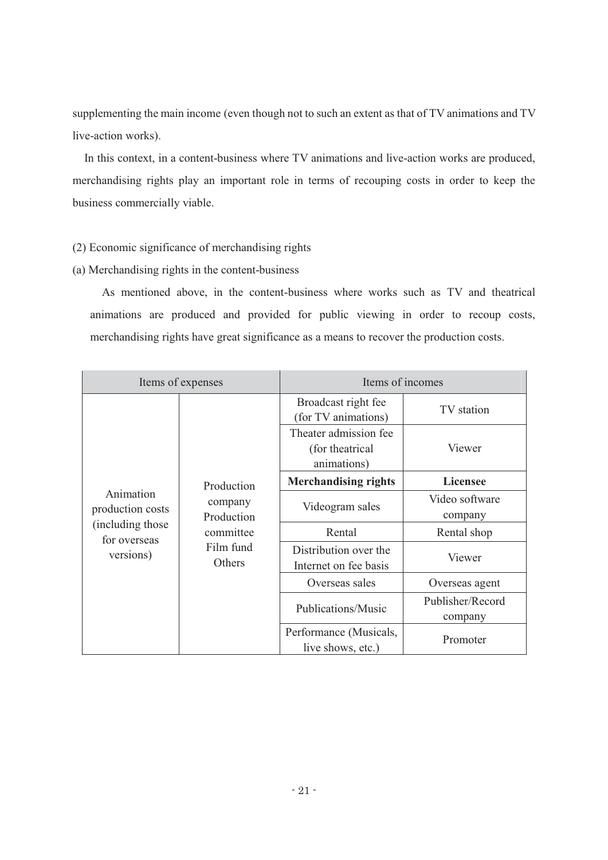supplementing the main income (even though not to such an extent as that of TV animations and TV live-action works).

In this context, in a content-business where TV animations and live-action works are produced, merchandising rights play an important role in terms of recouping costs in order to keep the business commercially viable.

# (2) Economic significance of merchandising rights

(a) Merchandising rights in the content-business

As mentioned above, in the content-business where works such as TV and theatrical animations are produced and provided for public viewing in order to recoup costs, merchandising rights have great significance as a means to recover the production costs.

| Items of expenses                 |                                                                         | Items of incomes                                         |                  |  |
|-----------------------------------|-------------------------------------------------------------------------|----------------------------------------------------------|------------------|--|
|                                   | Production<br>company<br>Production<br>committee<br>Film fund<br>Others | Broadcast right fee<br>(for TV animations)               | TV station       |  |
|                                   |                                                                         | Theater admission fee<br>(for theatrical)<br>animations) | Viewer           |  |
|                                   |                                                                         | <b>Merchandising rights</b>                              | Licensee         |  |
| Animation                         |                                                                         | Videogram sales                                          | Video software   |  |
| production costs                  |                                                                         |                                                          | company          |  |
| (including those)<br>for overseas |                                                                         | Rental                                                   | Rental shop      |  |
| versions)                         |                                                                         | Distribution over the<br>Internet on fee basis           | Viewer           |  |
|                                   |                                                                         | Overseas sales                                           | Overseas agent   |  |
|                                   |                                                                         | Publications/Music                                       | Publisher/Record |  |
|                                   |                                                                         |                                                          | company          |  |
|                                   |                                                                         | Performance (Musicals,<br>live shows, etc.)              | Promoter         |  |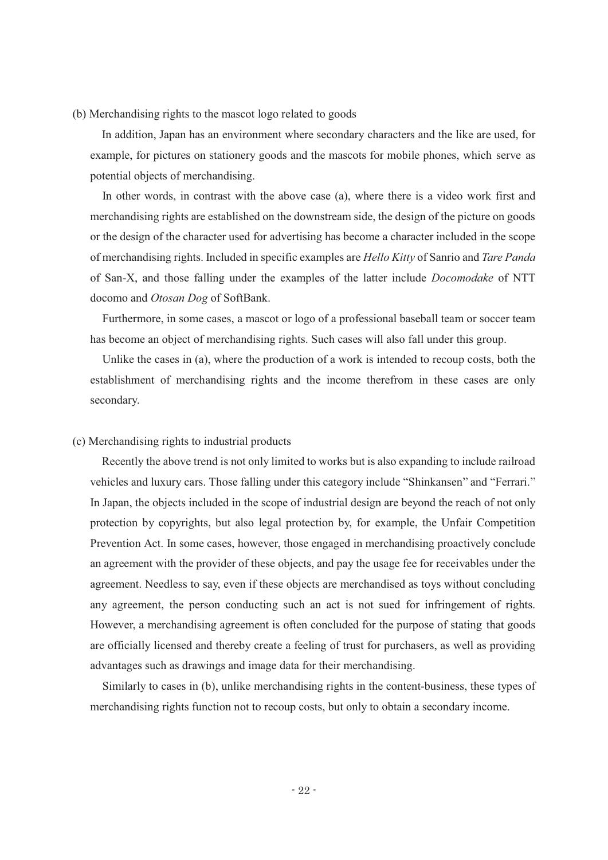(b) Merchandising rights to the mascot logo related to goods

In addition, Japan has an environment where secondary characters and the like are used, for example, for pictures on stationery goods and the mascots for mobile phones, which serve as potential objects of merchandising.

In other words, in contrast with the above case (a), where there is a video work first and merchandising rights are established on the downstream side, the design of the picture on goods or the design of the character used for advertising has become a character included in the scope of merchandising rights. Included in specific examples are *Hello Kitty* of Sanrio and *Tare Panda* of San-X, and those falling under the examples of the latter include *Docomodake* of NTT docomo and *Otosan Dog* of SoftBank.

Furthermore, in some cases, a mascot or logo of a professional baseball team or soccer team has become an object of merchandising rights. Such cases will also fall under this group.

Unlike the cases in (a), where the production of a work is intended to recoup costs, both the establishment of merchandising rights and the income therefrom in these cases are only secondary.

# (c) Merchandising rights to industrial products

Recently the above trend is not only limited to works but is also expanding to include railroad vehicles and luxury cars. Those falling under this category include "Shinkansen" and "Ferrari." In Japan, the objects included in the scope of industrial design are beyond the reach of not only protection by copyrights, but also legal protection by, for example, the Unfair Competition Prevention Act. In some cases, however, those engaged in merchandising proactively conclude an agreement with the provider of these objects, and pay the usage fee for receivables under the agreement. Needless to say, even if these objects are merchandised as toys without concluding any agreement, the person conducting such an act is not sued for infringement of rights. However, a merchandising agreement is often concluded for the purpose of stating that goods are officially licensed and thereby create a feeling of trust for purchasers, as well as providing advantages such as drawings and image data for their merchandising.

Similarly to cases in (b), unlike merchandising rights in the content-business, these types of merchandising rights function not to recoup costs, but only to obtain a secondary income.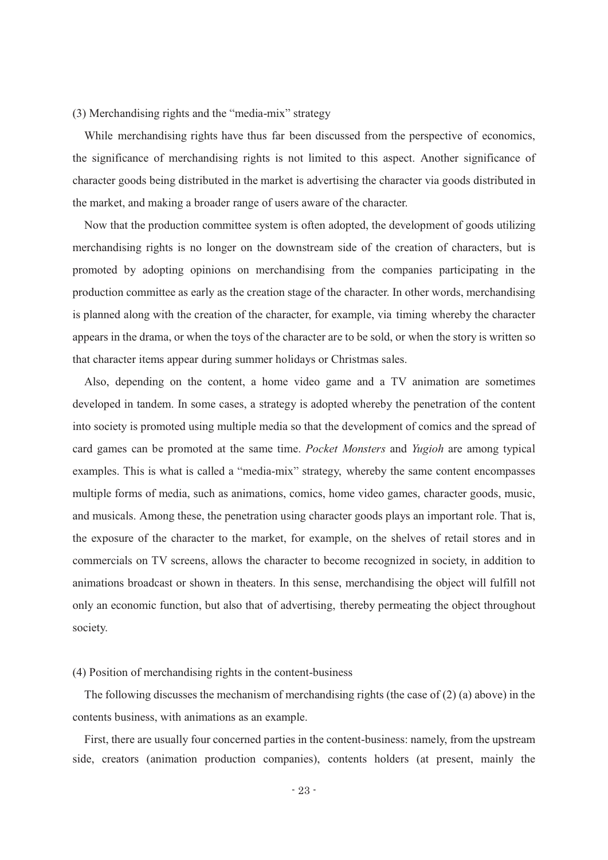$(3)$  Merchandising rights and the "media-mix" strategy

While merchandising rights have thus far been discussed from the perspective of economics, the significance of merchandising rights is not limited to this aspect. Another significance of character goods being distributed in the market is advertising the character via goods distributed in the market, and making a broader range of users aware of the character.

Now that the production committee system is often adopted, the development of goods utilizing merchandising rights is no longer on the downstream side of the creation of characters, but is promoted by adopting opinions on merchandising from the companies participating in the production committee as early as the creation stage of the character. In other words, merchandising is planned along with the creation of the character, for example, via timing whereby the character appears in the drama, or when the toys of the character are to be sold, or when the story is written so that character items appear during summer holidays or Christmas sales.

Also, depending on the content, a home video game and a TV animation are sometimes developed in tandem. In some cases, a strategy is adopted whereby the penetration of the content into society is promoted using multiple media so that the development of comics and the spread of card games can be promoted at the same time. *Pocket Monsters* and *Yugioh* are among typical examples. This is what is called a "media-mix" strategy, whereby the same content encompasses multiple forms of media, such as animations, comics, home video games, character goods, music, and musicals. Among these, the penetration using character goods plays an important role. That is, the exposure of the character to the market, for example, on the shelves of retail stores and in commercials on TV screens, allows the character to become recognized in society, in addition to animations broadcast or shown in theaters. In this sense, merchandising the object will fulfill not only an economic function, but also that of advertising, thereby permeating the object throughout society.

#### (4) Position of merchandising rights in the content-business

The following discusses the mechanism of merchandising rights (the case of  $(2)$  (a) above) in the contents business, with animations as an example.

First, there are usually four concerned parties in the content-business: namely, from the upstream side, creators (animation production companies), contents holders (at present, mainly the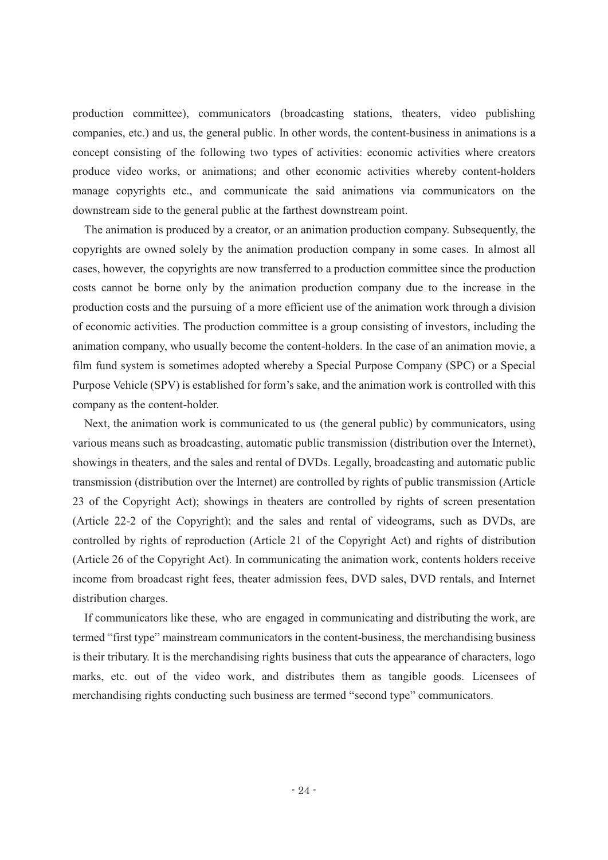production committee), communicators (broadcasting stations, theaters, video publishing companies, etc.) and us, the general public. In other words, the content-business in animations is a concept consisting of the following two types of activities: economic activities where creators produce video works, or animations; and other economic activities whereby content-holders manage copyrights etc., and communicate the said animations via communicators on the downstream side to the general public at the farthest downstream point.

The animation is produced by a creator, or an animation production company. Subsequently, the copyrights are owned solely by the animation production company in some cases. In almost all cases, however, the copyrights are now transferred to a production committee since the production costs cannot be borne only by the animation production company due to the increase in the production costs and the pursuing of a more efficient use of the animation work through a division of economic activities. The production committee is a group consisting of investors, including the animation company, who usually become the content-holders. In the case of an animation movie, a film fund system is sometimes adopted whereby a Special Purpose Company (SPC) or a Special Purpose Vehicle (SPV) is established for form's sake, and the animation work is controlled with this company as the content-holder.

Next, the animation work is communicated to us (the general public) by communicators, using various means such as broadcasting, automatic public transmission (distribution over the Internet), showings in theaters, and the sales and rental of DVDs. Legally, broadcasting and automatic public transmission (distribution over the Internet) are controlled by rights of public transmission (Article 23 of the Copyright Act); showings in theaters are controlled by rights of screen presentation (Article 22-2 of the Copyright); and the sales and rental of videograms, such as DVDs, are controlled by rights of reproduction (Article 21 of the Copyright Act) and rights of distribution (Article 26 of the Copyright Act). In communicating the animation work, contents holders receive income from broadcast right fees, theater admission fees, DVD sales, DVD rentals, and Internet distribution charges.

If communicators like these, who are engaged in communicating and distributing the work, are termed "first type" mainstream communicators in the content-business, the merchandising business is their tributary. It is the merchandising rights business that cuts the appearance of characters, logo marks, etc. out of the video work, and distributes them as tangible goods. Licensees of merchandising rights conducting such business are termed "second type" communicators.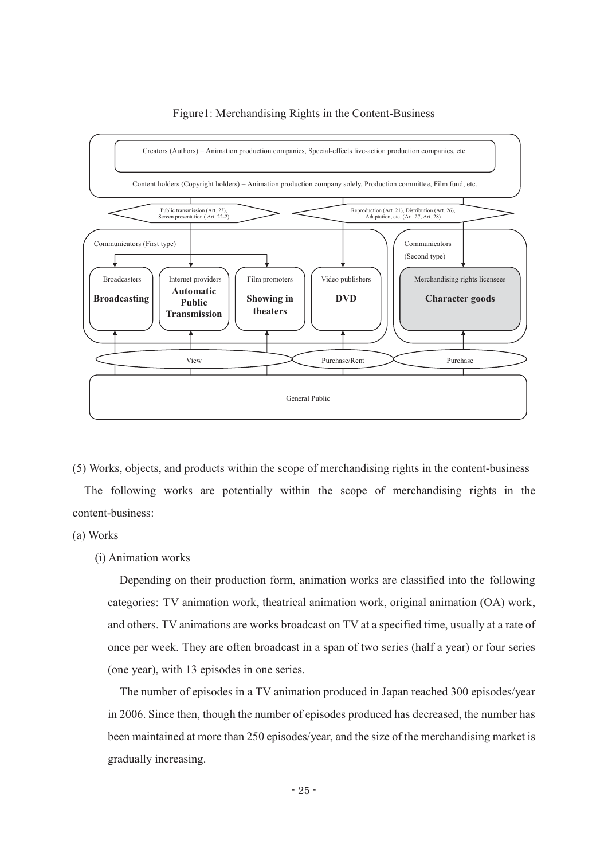

#### Figure1: Merchandising Rights in the Content-Business

(5) Works, objects, and products within the scope of merchandising rights in the content-business The following works are potentially within the scope of merchandising rights in the content-business:

# (a) Works

# (i) Animation works

Depending on their production form, animation works are classified into the following categories: TV animation work, theatrical animation work, original animation (OA) work, and others. TV animations are works broadcast on TV at a specified time, usually at a rate of once per week. They are often broadcast in a span of two series (half a year) or four series (one year), with 13 episodes in one series.

The number of episodes in a TV animation produced in Japan reached 300 episodes/year in 2006. Since then, though the number of episodes produced has decreased, the number has been maintained at more than 250 episodes/year, and the size of the merchandising market is gradually increasing.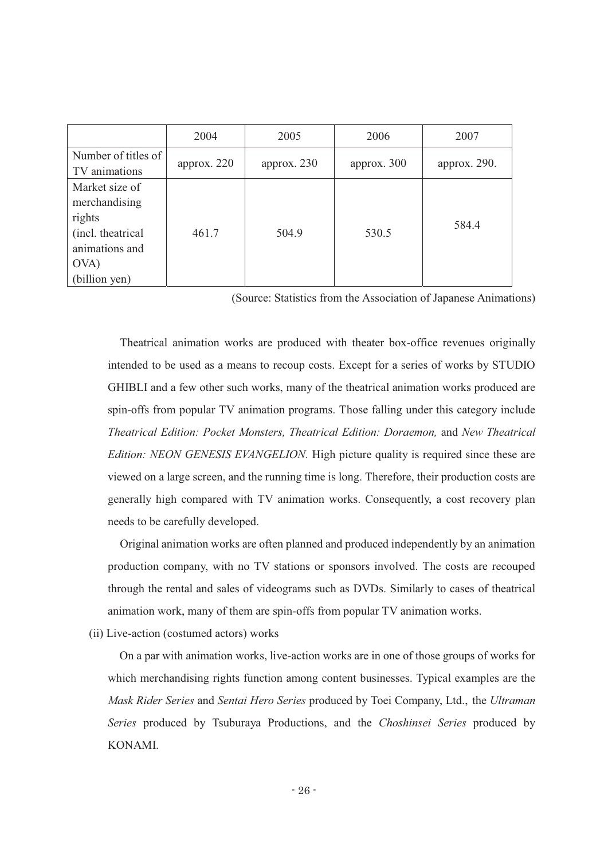|                     | 2004          | 2005          | 2006          | 2007         |
|---------------------|---------------|---------------|---------------|--------------|
| Number of titles of | approx. $220$ | approx. $230$ | approx. $300$ | approx. 290. |
| TV animations       |               |               |               |              |
| Market size of      |               |               |               |              |
| merchandising       |               |               |               |              |
| rights              |               |               |               | 584.4        |
| (incl. theatrical   | 461.7         | 504.9         | 530.5         |              |
| animations and      |               |               |               |              |
| OVA)                |               |               |               |              |
| (billion yen)       |               |               |               |              |

(Source: Statistics from the Association of Japanese Animations)

Theatrical animation works are produced with theater box-office revenues originally intended to be used as a means to recoup costs. Except for a series of works by STUDIO GHIBLI and a few other such works, many of the theatrical animation works produced are spin-offs from popular TV animation programs. Those falling under this category include *Theatrical Edition: Pocket Monsters, Theatrical Edition: Doraemon,* and *New Theatrical Edition: NEON GENESIS EVANGELION.* High picture quality is required since these are viewed on a large screen, and the running time is long. Therefore, their production costs are generally high compared with TV animation works. Consequently, a cost recovery plan needs to be carefully developed.

Original animation works are often planned and produced independently by an animation production company, with no TV stations or sponsors involved. The costs are recouped through the rental and sales of videograms such as DVDs. Similarly to cases of theatrical animation work, many of them are spin-offs from popular TV animation works.

(ii) Live-action (costumed actors) works

On a par with animation works, live-action works are in one of those groups of works for which merchandising rights function among content businesses. Typical examples are the *Mask Rider Series* and *Sentai Hero Series* produced by Toei Company, Ltd., the *Ultraman Series* produced by Tsuburaya Productions, and the *Choshinsei Series* produced by KONAMI.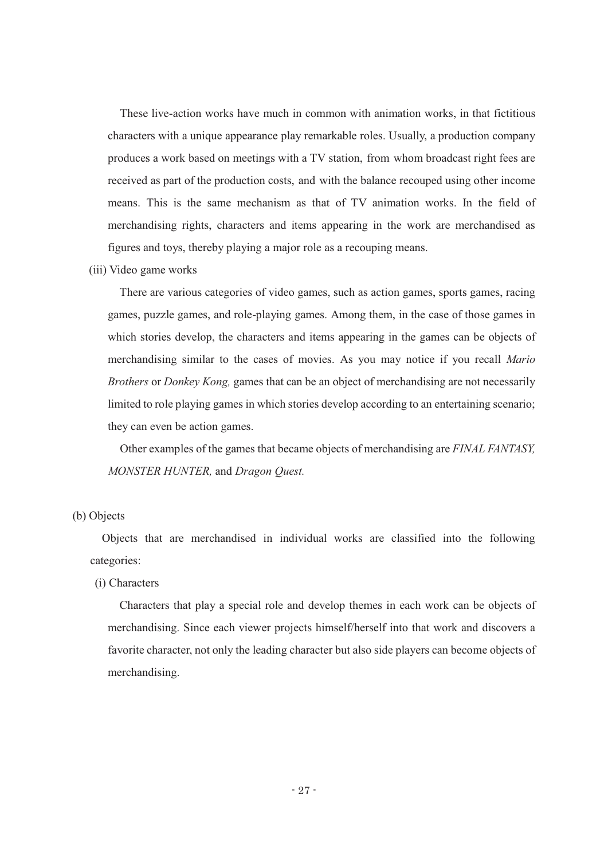These live-action works have much in common with animation works, in that fictitious characters with a unique appearance play remarkable roles. Usually, a production company produces a work based on meetings with a TV station, from whom broadcast right fees are received as part of the production costs, and with the balance recouped using other income means. This is the same mechanism as that of TV animation works. In the field of merchandising rights, characters and items appearing in the work are merchandised as figures and toys, thereby playing a major role as a recouping means.

(iii) Video game works

There are various categories of video games, such as action games, sports games, racing games, puzzle games, and role-playing games. Among them, in the case of those games in which stories develop, the characters and items appearing in the games can be objects of merchandising similar to the cases of movies. As you may notice if you recall *Mario Brothers* or *Donkey Kong,* games that can be an object of merchandising are not necessarily limited to role playing games in which stories develop according to an entertaining scenario; they can even be action games.

Other examples of the games that became objects of merchandising are *FINAL FANTASY, MONSTER HUNTER,* and *Dragon Quest.*

# (b) Objects

Objects that are merchandised in individual works are classified into the following categories:

(i) Characters

Characters that play a special role and develop themes in each work can be objects of merchandising. Since each viewer projects himself/herself into that work and discovers a favorite character, not only the leading character but also side players can become objects of merchandising.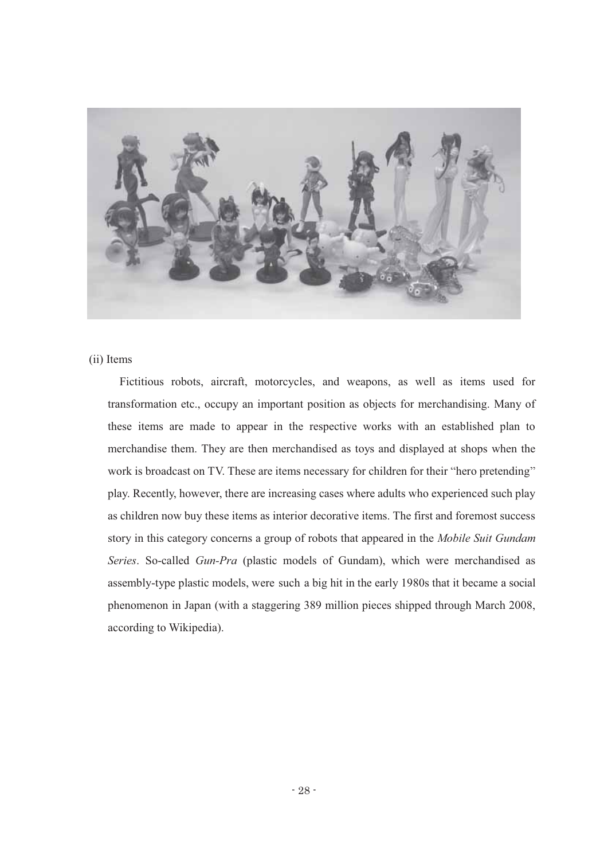

# (ii) Items

Fictitious robots, aircraft, motorcycles, and weapons, as well as items used for transformation etc., occupy an important position as objects for merchandising. Many of these items are made to appear in the respective works with an established plan to merchandise them. They are then merchandised as toys and displayed at shops when the work is broadcast on TV. These are items necessary for children for their "hero pretending" play. Recently, however, there are increasing cases where adults who experienced such play as children now buy these items as interior decorative items. The first and foremost success story in this category concerns a group of robots that appeared in the *Mobile Suit Gundam Series*. So-called *Gun-Pra* (plastic models of Gundam), which were merchandised as assembly-type plastic models, were such a big hit in the early 1980s that it became a social phenomenon in Japan (with a staggering 389 million pieces shipped through March 2008, according to Wikipedia).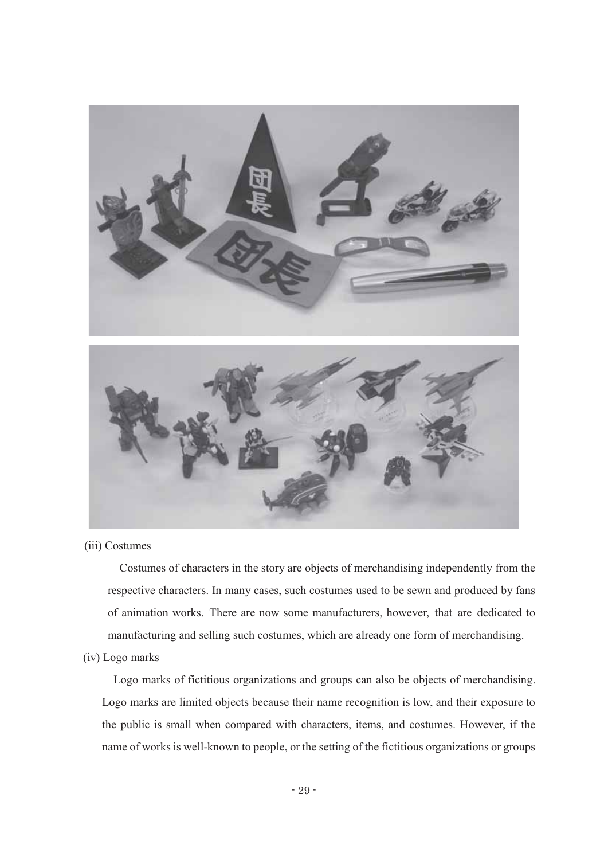

(iii) Costumes

Costumes of characters in the story are objects of merchandising independently from the respective characters. In many cases, such costumes used to be sewn and produced by fans of animation works. There are now some manufacturers, however, that are dedicated to manufacturing and selling such costumes, which are already one form of merchandising.

# (iv) Logo marks

Logo marks of fictitious organizations and groups can also be objects of merchandising. Logo marks are limited objects because their name recognition is low, and their exposure to the public is small when compared with characters, items, and costumes. However, if the name of works is well-known to people, or the setting of the fictitious organizations or groups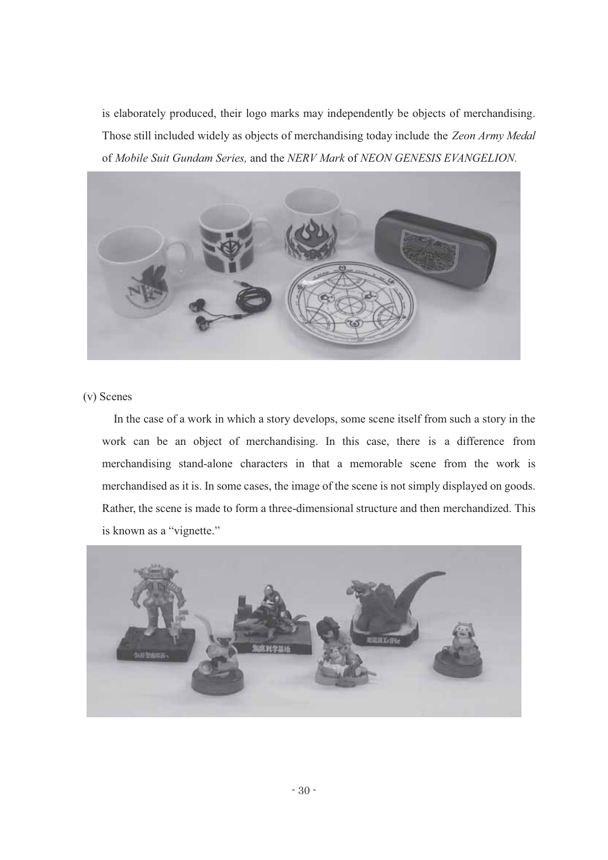is elaborately produced, their logo marks may independently be objects of merchandising. Those still included widely as objects of merchandising today include the *Zeon Army Medal* of *Mobile Suit Gundam Series,* and the *NERV Mark* of *NEON GENESIS EVANGELION.*



# (v) Scenes

In the case of a work in which a story develops, some scene itself from such a story in the work can be an object of merchandising. In this case, there is a difference from merchandising stand-alone characters in that a memorable scene from the work is merchandised as it is. In some cases, the image of the scene is not simply displayed on goods. Rather, the scene is made to form a three-dimensional structure and then merchandized. This is known as a "vignette."

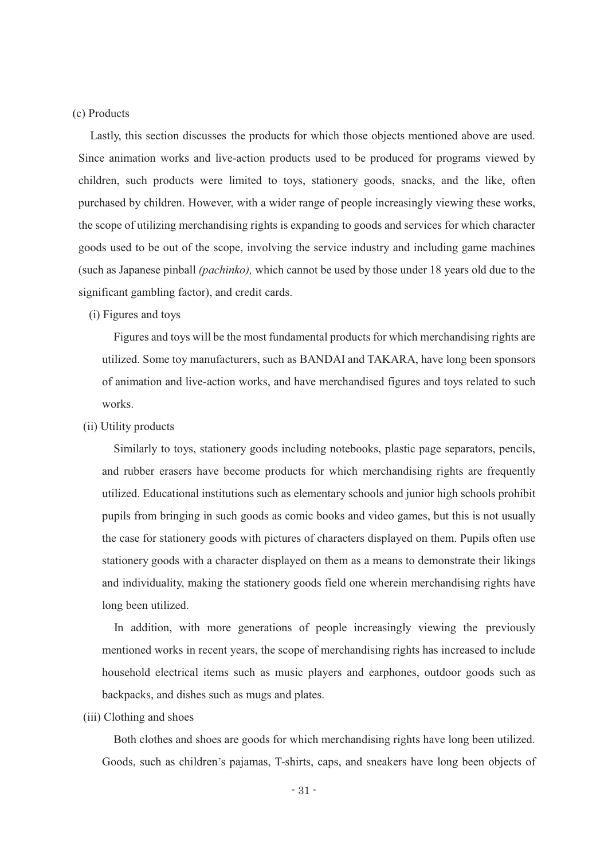# (c) Products

Lastly, this section discusses the products for which those objects mentioned above are used. Since animation works and live-action products used to be produced for programs viewed by children, such products were limited to toys, stationery goods, snacks, and the like, often purchased by children. However, with a wider range of people increasingly viewing these works, the scope of utilizing merchandising rights is expanding to goods and services for which character goods used to be out of the scope, involving the service industry and including game machines (such as Japanese pinball *(pachinko),* which cannot be used by those under 18 years old due to the significant gambling factor), and credit cards.

# (i) Figures and toys

Figures and toys will be the most fundamental products for which merchandising rights are utilized. Some toy manufacturers, such as BANDAI and TAKARA, have long been sponsors of animation and live-action works, and have merchandised figures and toys related to such works.

#### (ii) Utility products

Similarly to toys, stationery goods including notebooks, plastic page separators, pencils, and rubber erasers have become products for which merchandising rights are frequently utilized. Educational institutions such as elementary schools and junior high schools prohibit pupils from bringing in such goods as comic books and video games, but this is not usually the case for stationery goods with pictures of characters displayed on them. Pupils often use stationery goods with a character displayed on them as a means to demonstrate their likings and individuality, making the stationery goods field one wherein merchandising rights have long been utilized.

In addition, with more generations of people increasingly viewing the previously mentioned works in recent years, the scope of merchandising rights has increased to include household electrical items such as music players and earphones, outdoor goods such as backpacks, and dishes such as mugs and plates.

#### (iii) Clothing and shoes

Both clothes and shoes are goods for which merchandising rights have long been utilized. Goods, such as children's pajamas, T-shirts, caps, and sneakers have long been objects of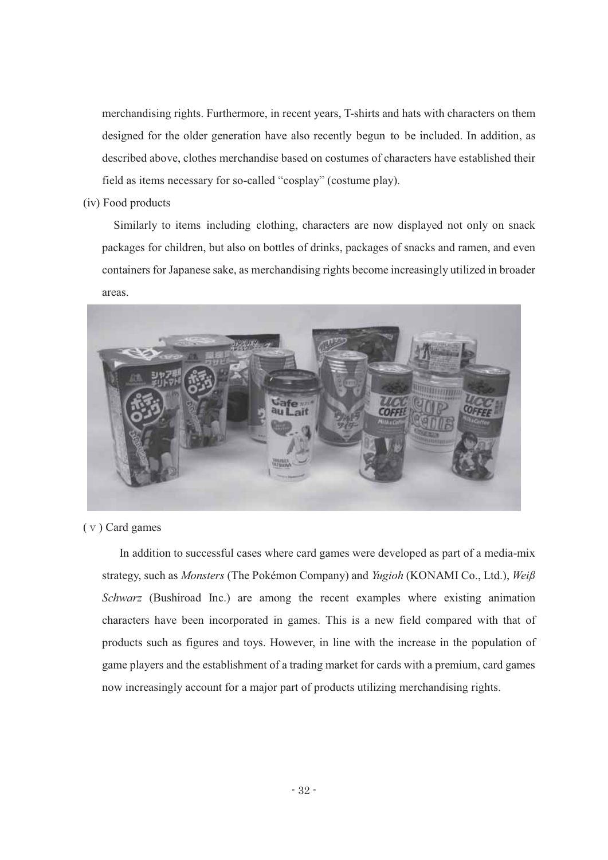merchandising rights. Furthermore, in recent years, T-shirts and hats with characters on them designed for the older generation have also recently begun to be included. In addition, as described above, clothes merchandise based on costumes of characters have established their field as items necessary for so-called "cosplay" (costume play).

(iv) Food products

Similarly to items including clothing, characters are now displayed not only on snack packages for children, but also on bottles of drinks, packages of snacks and ramen, and even containers for Japanese sake, as merchandising rights become increasingly utilized in broader areas.



# (ⅴ) Card games

In addition to successful cases where card games were developed as part of a media-mix strategy, such as *Monsters* (The Pokémon Company) and *Yugioh* (KONAMI Co., Ltd.), *Weiß Schwarz* (Bushiroad Inc.) are among the recent examples where existing animation characters have been incorporated in games. This is a new field compared with that of products such as figures and toys. However, in line with the increase in the population of game players and the establishment of a trading market for cards with a premium, card games now increasingly account for a major part of products utilizing merchandising rights.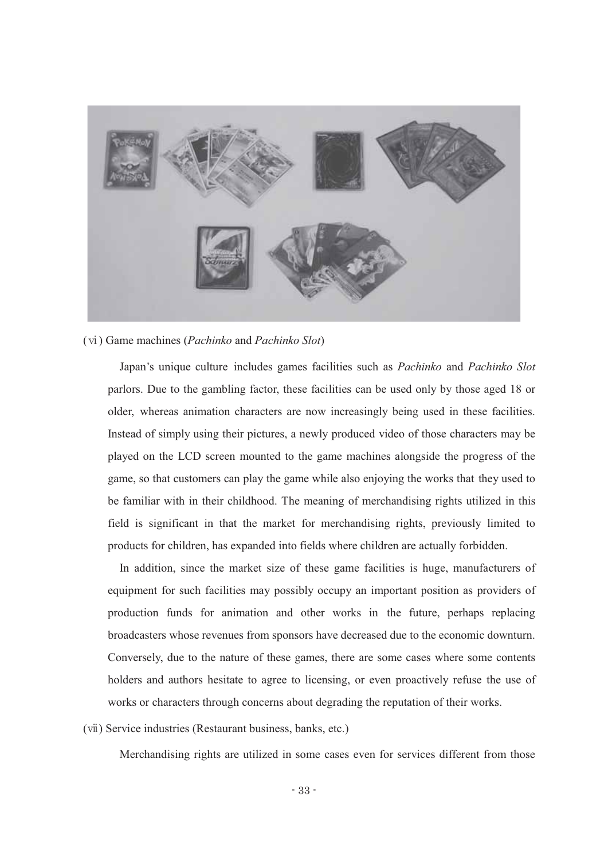

(ⅵ) Game machines (*Pachinko* and *Pachinko Slot*)

Japan's unique culture includes games facilities such as *Pachinko* and *Pachinko Slot* parlors. Due to the gambling factor, these facilities can be used only by those aged 18 or older, whereas animation characters are now increasingly being used in these facilities. Instead of simply using their pictures, a newly produced video of those characters may be played on the LCD screen mounted to the game machines alongside the progress of the game, so that customers can play the game while also enjoying the works that they used to be familiar with in their childhood. The meaning of merchandising rights utilized in this field is significant in that the market for merchandising rights, previously limited to products for children, has expanded into fields where children are actually forbidden.

In addition, since the market size of these game facilities is huge, manufacturers of equipment for such facilities may possibly occupy an important position as providers of production funds for animation and other works in the future, perhaps replacing broadcasters whose revenues from sponsors have decreased due to the economic downturn. Conversely, due to the nature of these games, there are some cases where some contents holders and authors hesitate to agree to licensing, or even proactively refuse the use of works or characters through concerns about degrading the reputation of their works.

(ⅶ) Service industries (Restaurant business, banks, etc.)

Merchandising rights are utilized in some cases even for services different from those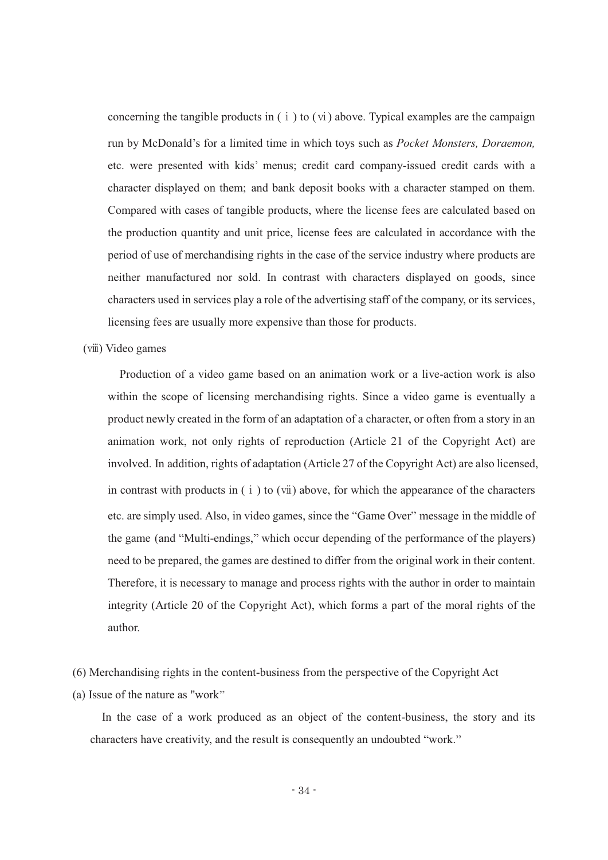concerning the tangible products in  $(i)$  to  $(vi)$  above. Typical examples are the campaign run by McDonald's for a limited time in which toys such as *Pocket Monsters, Doraemon,* etc. were presented with kids' menus; credit card company-issued credit cards with a character displayed on them; and bank deposit books with a character stamped on them. Compared with cases of tangible products, where the license fees are calculated based on the production quantity and unit price, license fees are calculated in accordance with the period of use of merchandising rights in the case of the service industry where products are neither manufactured nor sold. In contrast with characters displayed on goods, since characters used in services play a role of the advertising staff of the company, or its services, licensing fees are usually more expensive than those for products.

# (ⅷ) Video games

Production of a video game based on an animation work or a live-action work is also within the scope of licensing merchandising rights. Since a video game is eventually a product newly created in the form of an adaptation of a character, or often from a story in an animation work, not only rights of reproduction (Article 21 of the Copyright Act) are involved. In addition, rights of adaptation (Article 27 of the Copyright Act) are also licensed, in contrast with products in  $(i)$  to  $(vii)$  above, for which the appearance of the characters etc. are simply used. Also, in video games, since the "Game Over" message in the middle of the game (and "Multi-endings," which occur depending of the performance of the players) need to be prepared, the games are destined to differ from the original work in their content. Therefore, it is necessary to manage and process rights with the author in order to maintain integrity (Article 20 of the Copyright Act), which forms a part of the moral rights of the author.

(6) Merchandising rights in the content-business from the perspective of the Copyright Act

(a) Issue of the nature as "work

In the case of a work produced as an object of the content-business, the story and its characters have creativity, and the result is consequently an undoubted "work."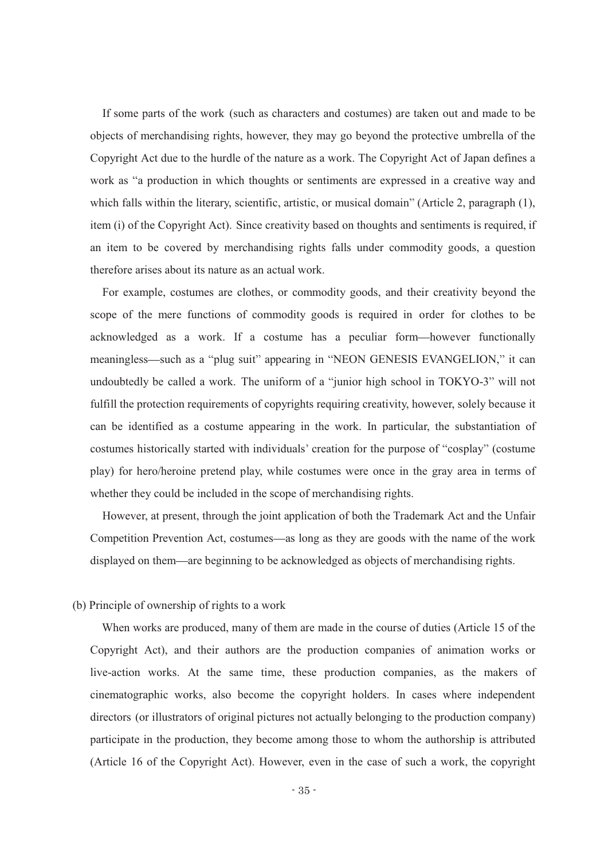If some parts of the work (such as characters and costumes) are taken out and made to be objects of merchandising rights, however, they may go beyond the protective umbrella of the Copyright Act due to the hurdle of the nature as a work. The Copyright Act of Japan defines a work as "a production in which thoughts or sentiments are expressed in a creative way and which falls within the literary, scientific, artistic, or musical domain" (Article 2, paragraph  $(1)$ , item (i) of the Copyright Act). Since creativity based on thoughts and sentiments is required, if an item to be covered by merchandising rights falls under commodity goods, a question therefore arises about its nature as an actual work.

For example, costumes are clothes, or commodity goods, and their creativity beyond the scope of the mere functions of commodity goods is required in order for clothes to be acknowledged as a work. If a costume has a peculiar form however functionally meaningless—such as a "plug suit" appearing in "NEON GENESIS EVANGELION," it can undoubtedly be called a work. The uniform of a "junior high school in  $TOKYO-3$ " will not fulfill the protection requirements of copyrights requiring creativity, however, solely because it can be identified as a costume appearing in the work. In particular, the substantiation of costumes historically started with individuals' creation for the purpose of "cosplay" (costume play) for hero/heroine pretend play, while costumes were once in the gray area in terms of whether they could be included in the scope of merchandising rights.

However, at present, through the joint application of both the Trademark Act and the Unfair Competition Prevention Act, costumes—as long as they are goods with the name of the work displayed on them—are beginning to be acknowledged as objects of merchandising rights.

# (b) Principle of ownership of rights to a work

When works are produced, many of them are made in the course of duties (Article 15 of the Copyright Act), and their authors are the production companies of animation works or live-action works. At the same time, these production companies, as the makers of cinematographic works, also become the copyright holders. In cases where independent directors (or illustrators of original pictures not actually belonging to the production company) participate in the production, they become among those to whom the authorship is attributed (Article 16 of the Copyright Act). However, even in the case of such a work, the copyright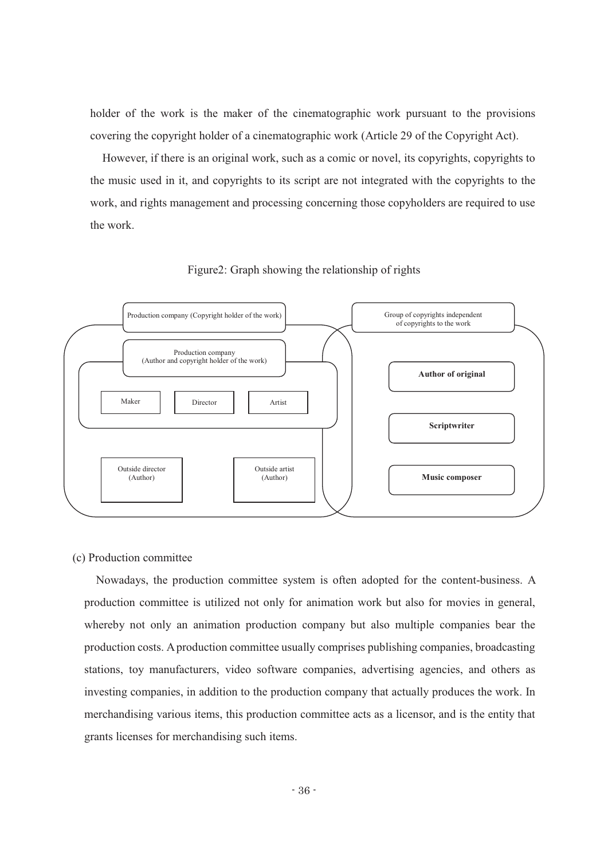holder of the work is the maker of the cinematographic work pursuant to the provisions covering the copyright holder of a cinematographic work (Article 29 of the Copyright Act).

However, if there is an original work, such as a comic or novel, its copyrights, copyrights to the music used in it, and copyrights to its script are not integrated with the copyrights to the work, and rights management and processing concerning those copyholders are required to use the work.





# (c) Production committee

Nowadays, the production committee system is often adopted for the content-business. A production committee is utilized not only for animation work but also for movies in general, whereby not only an animation production company but also multiple companies bear the production costs. A production committee usually comprises publishing companies, broadcasting stations, toy manufacturers, video software companies, advertising agencies, and others as investing companies, in addition to the production company that actually produces the work. In merchandising various items, this production committee acts as a licensor, and is the entity that grants licenses for merchandising such items.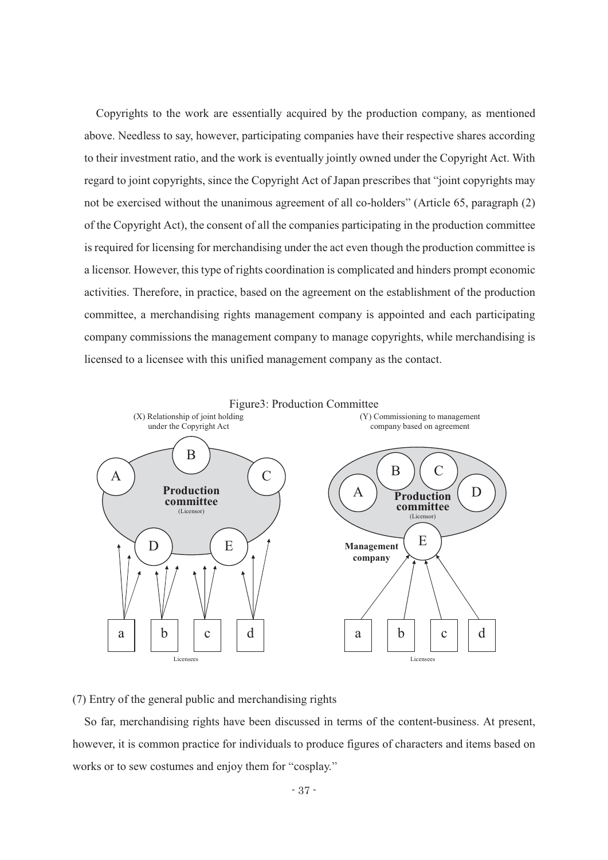Copyrights to the work are essentially acquired by the production company, as mentioned above. Needless to say, however, participating companies have their respective shares according to their investment ratio, and the work is eventually jointly owned under the Copyright Act. With regard to joint copyrights, since the Copyright Act of Japan prescribes that "joint copyrights may not be exercised without the unanimous agreement of all co-holders" (Article 65, paragraph (2) of the Copyright Act), the consent of all the companies participating in the production committee is required for licensing for merchandising under the act even though the production committee is a licensor. However, this type of rights coordination is complicated and hinders prompt economic activities. Therefore, in practice, based on the agreement on the establishment of the production committee, a merchandising rights management company is appointed and each participating company commissions the management company to manage copyrights, while merchandising is licensed to a licensee with this unified management company as the contact.



(7) Entry of the general public and merchandising rights

So far, merchandising rights have been discussed in terms of the content-business. At present, however, it is common practice for individuals to produce figures of characters and items based on works or to sew costumes and enjoy them for "cosplay."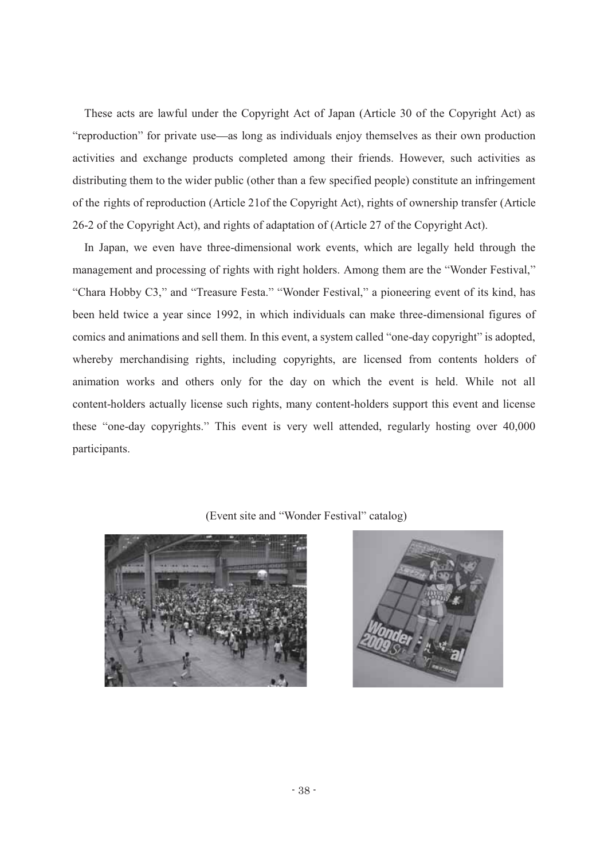These acts are lawful under the Copyright Act of Japan (Article 30 of the Copyright Act) as "reproduction" for private use—as long as individuals enjoy themselves as their own production activities and exchange products completed among their friends. However, such activities as distributing them to the wider public (other than a few specified people) constitute an infringement of the rights of reproduction (Article 21of the Copyright Act), rights of ownership transfer (Article 26-2 of the Copyright Act), and rights of adaptation of (Article 27 of the Copyright Act).

In Japan, we even have three-dimensional work events, which are legally held through the management and processing of rights with right holders. Among them are the "Wonder Festival," "Chara Hobby C3," and "Treasure Festa." "Wonder Festival," a pioneering event of its kind, has been held twice a year since 1992, in which individuals can make three-dimensional figures of comics and animations and sell them. In this event, a system called "one-day copyright" is adopted, whereby merchandising rights, including copyrights, are licensed from contents holders of animation works and others only for the day on which the event is held. While not all content-holders actually license such rights, many content-holders support this event and license these "one-day copyrights." This event is very well attended, regularly hosting over 40,000 participants.

# (Event site and "Wonder Festival" catalog)



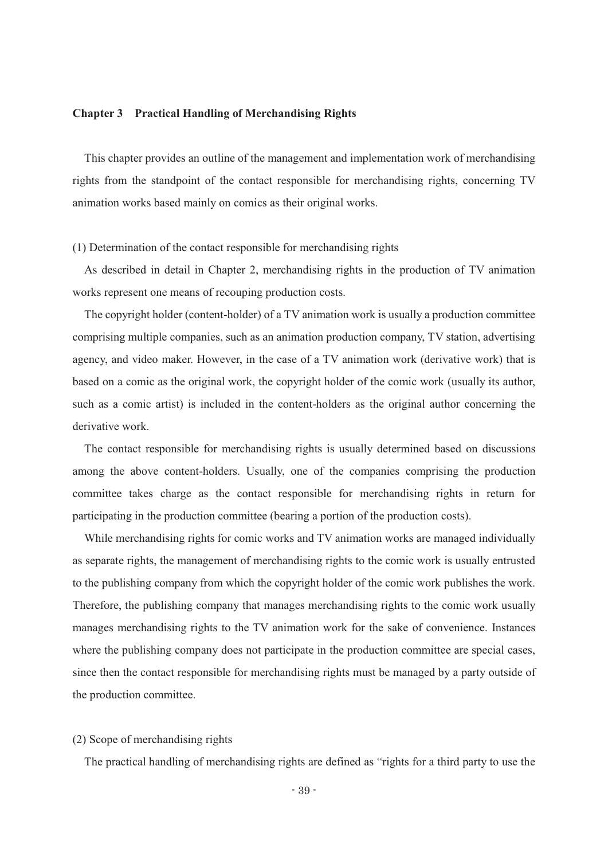#### **Chapter 3 Practical Handling of Merchandising Rights**

This chapter provides an outline of the management and implementation work of merchandising rights from the standpoint of the contact responsible for merchandising rights, concerning TV animation works based mainly on comics as their original works.

(1) Determination of the contact responsible for merchandising rights

As described in detail in Chapter 2, merchandising rights in the production of TV animation works represent one means of recouping production costs.

The copyright holder (content-holder) of a TV animation work is usually a production committee comprising multiple companies, such as an animation production company, TV station, advertising agency, and video maker. However, in the case of a TV animation work (derivative work) that is based on a comic as the original work, the copyright holder of the comic work (usually its author, such as a comic artist) is included in the content-holders as the original author concerning the derivative work.

The contact responsible for merchandising rights is usually determined based on discussions among the above content-holders. Usually, one of the companies comprising the production committee takes charge as the contact responsible for merchandising rights in return for participating in the production committee (bearing a portion of the production costs).

While merchandising rights for comic works and TV animation works are managed individually as separate rights, the management of merchandising rights to the comic work is usually entrusted to the publishing company from which the copyright holder of the comic work publishes the work. Therefore, the publishing company that manages merchandising rights to the comic work usually manages merchandising rights to the TV animation work for the sake of convenience. Instances where the publishing company does not participate in the production committee are special cases, since then the contact responsible for merchandising rights must be managed by a party outside of the production committee.

#### (2) Scope of merchandising rights

The practical handling of merchandising rights are defined as "rights for a third party to use the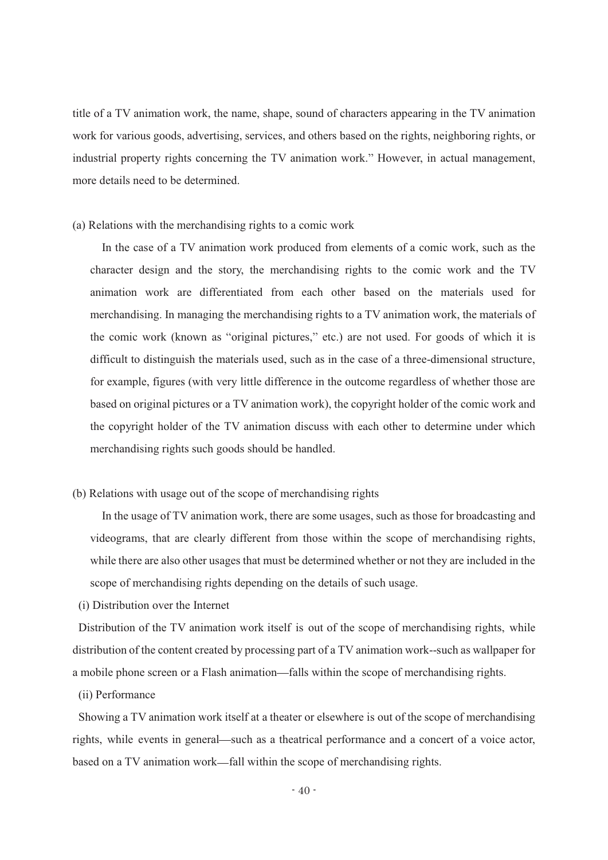title of a TV animation work, the name, shape, sound of characters appearing in the TV animation work for various goods, advertising, services, and others based on the rights, neighboring rights, or industrial property rights concerning the TV animation work." However, in actual management, more details need to be determined.

(a) Relations with the merchandising rights to a comic work

In the case of a TV animation work produced from elements of a comic work, such as the character design and the story, the merchandising rights to the comic work and the TV animation work are differentiated from each other based on the materials used for merchandising. In managing the merchandising rights to a TV animation work, the materials of the comic work (known as "original pictures," etc.) are not used. For goods of which it is difficult to distinguish the materials used, such as in the case of a three-dimensional structure, for example, figures (with very little difference in the outcome regardless of whether those are based on original pictures or a TV animation work), the copyright holder of the comic work and the copyright holder of the TV animation discuss with each other to determine under which merchandising rights such goods should be handled.

(b) Relations with usage out of the scope of merchandising rights

In the usage of TV animation work, there are some usages, such as those for broadcasting and videograms, that are clearly different from those within the scope of merchandising rights, while there are also other usages that must be determined whether or not they are included in the scope of merchandising rights depending on the details of such usage.

(i) Distribution over the Internet

Distribution of the TV animation work itself is out of the scope of merchandising rights, while distribution of the content created by processing part of a TV animation work--such as wallpaper for a mobile phone screen or a Flash animation—falls within the scope of merchandising rights.

(ii) Performance

Showing a TV animation work itself at a theater or elsewhere is out of the scope of merchandising rights, while events in general—such as a theatrical performance and a concert of a voice actor, based on a TV animation work—fall within the scope of merchandising rights.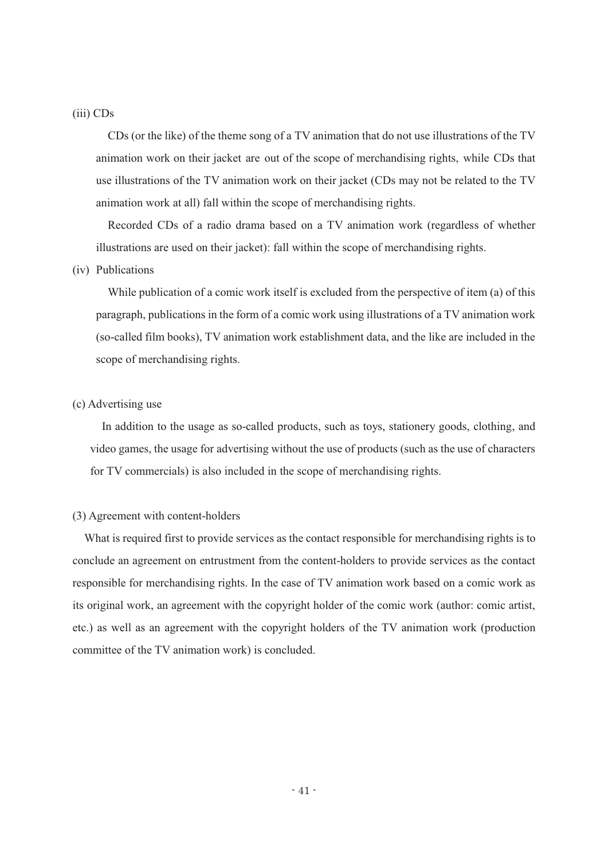# (iii) CDs

CDs (or the like) of the theme song of a TV animation that do not use illustrations of the TV animation work on their jacket are out of the scope of merchandising rights, while CDs that use illustrations of the TV animation work on their jacket (CDs may not be related to the TV animation work at all) fall within the scope of merchandising rights.

Recorded CDs of a radio drama based on a TV animation work (regardless of whether illustrations are used on their jacket): fall within the scope of merchandising rights.

# (iv) Publications

While publication of a comic work itself is excluded from the perspective of item (a) of this paragraph, publications in the form of a comic work using illustrations of a TV animation work (so-called film books), TV animation work establishment data, and the like are included in the scope of merchandising rights.

# (c) Advertising use

In addition to the usage as so-called products, such as toys, stationery goods, clothing, and video games, the usage for advertising without the use of products (such as the use of characters for TV commercials) is also included in the scope of merchandising rights.

#### (3) Agreement with content-holders

What is required first to provide services as the contact responsible for merchandising rights is to conclude an agreement on entrustment from the content-holders to provide services as the contact responsible for merchandising rights. In the case of TV animation work based on a comic work as its original work, an agreement with the copyright holder of the comic work (author: comic artist, etc.) as well as an agreement with the copyright holders of the TV animation work (production committee of the TV animation work) is concluded.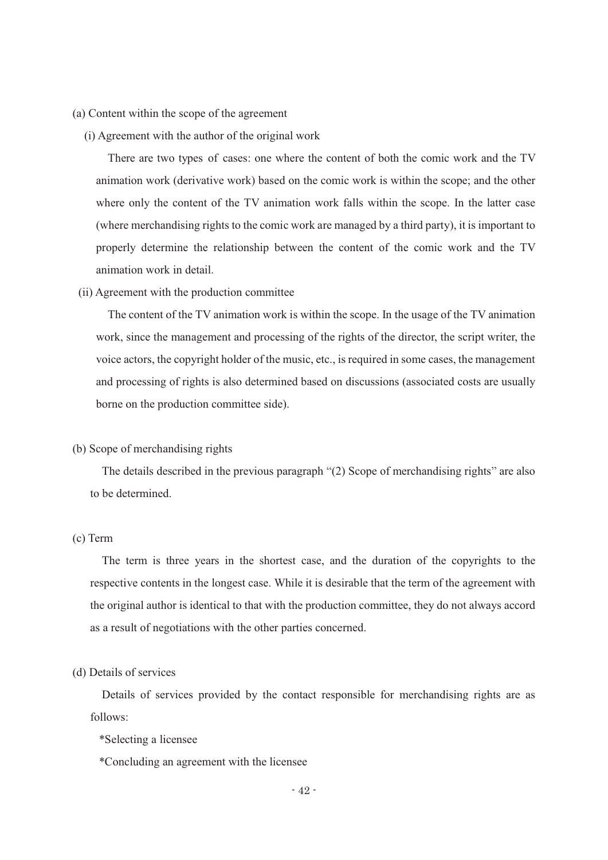#### (a) Content within the scope of the agreement

(i) Agreement with the author of the original work

There are two types of cases: one where the content of both the comic work and the TV animation work (derivative work) based on the comic work is within the scope; and the other where only the content of the TV animation work falls within the scope. In the latter case (where merchandising rights to the comic work are managed by a third party), it is important to properly determine the relationship between the content of the comic work and the TV animation work in detail.

(ii) Agreement with the production committee

The content of the TV animation work is within the scope. In the usage of the TV animation work, since the management and processing of the rights of the director, the script writer, the voice actors, the copyright holder of the music, etc., is required in some cases, the management and processing of rights is also determined based on discussions (associated costs are usually borne on the production committee side).

#### (b) Scope of merchandising rights

The details described in the previous paragraph  $\degree$ (2) Scope of merchandising rights $\degree$  are also to be determined.

#### (c) Term

The term is three years in the shortest case, and the duration of the copyrights to the respective contents in the longest case. While it is desirable that the term of the agreement with the original author is identical to that with the production committee, they do not always accord as a result of negotiations with the other parties concerned.

# (d) Details of services

Details of services provided by the contact responsible for merchandising rights are as follows:

- \*Selecting a licensee
- \*Concluding an agreement with the licensee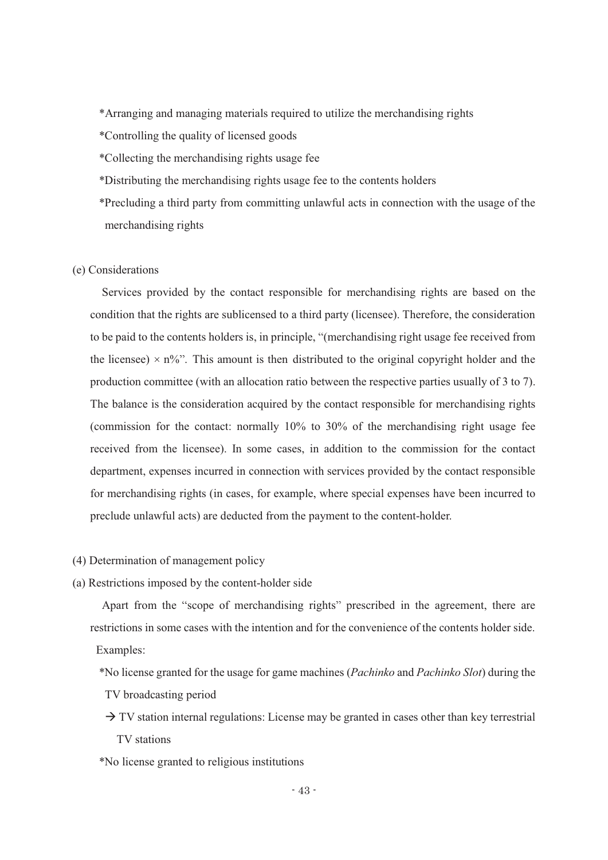\*Arranging and managing materials required to utilize the merchandising rights

\*Controlling the quality of licensed goods

\*Collecting the merchandising rights usage fee

\*Distributing the merchandising rights usage fee to the contents holders

\*Precluding a third party from committing unlawful acts in connection with the usage of the merchandising rights

# (e) Considerations

Services provided by the contact responsible for merchandising rights are based on the condition that the rights are sublicensed to a third party (licensee). Therefore, the consideration to be paid to the contents holders is, in principle, "(merchandising right usage fee received from the licensee)  $\times$  n%". This amount is then distributed to the original copyright holder and the production committee (with an allocation ratio between the respective parties usually of 3 to 7). The balance is the consideration acquired by the contact responsible for merchandising rights (commission for the contact: normally 10% to 30% of the merchandising right usage fee received from the licensee). In some cases, in addition to the commission for the contact department, expenses incurred in connection with services provided by the contact responsible for merchandising rights (in cases, for example, where special expenses have been incurred to preclude unlawful acts) are deducted from the payment to the content-holder.

(4) Determination of management policy

(a) Restrictions imposed by the content-holder side

Apart from the "scope of merchandising rights" prescribed in the agreement, there are restrictions in some cases with the intention and for the convenience of the contents holder side. Examples:

\*No license granted for the usage for game machines (*Pachinko* and *Pachinko Slot*) during the TV broadcasting period

 $\rightarrow$  TV station internal regulations: License may be granted in cases other than key terrestrial TV stations

\*No license granted to religious institutions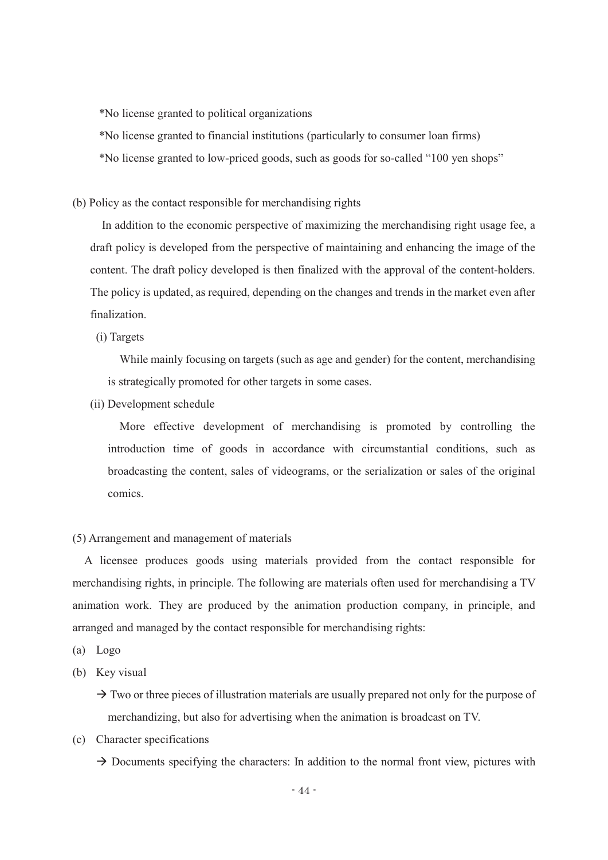\*No license granted to political organizations

\*No license granted to financial institutions (particularly to consumer loan firms)

\*No license granted to low-priced goods, such as goods for so-called "100 yen shops"

(b) Policy as the contact responsible for merchandising rights

In addition to the economic perspective of maximizing the merchandising right usage fee, a draft policy is developed from the perspective of maintaining and enhancing the image of the content. The draft policy developed is then finalized with the approval of the content-holders. The policy is updated, as required, depending on the changes and trends in the market even after finalization.

(i) Targets

While mainly focusing on targets (such as age and gender) for the content, merchandising is strategically promoted for other targets in some cases.

(ii) Development schedule

More effective development of merchandising is promoted by controlling the introduction time of goods in accordance with circumstantial conditions, such as broadcasting the content, sales of videograms, or the serialization or sales of the original comics.

#### (5) Arrangement and management of materials

A licensee produces goods using materials provided from the contact responsible for merchandising rights, in principle. The following are materials often used for merchandising a TV animation work. They are produced by the animation production company, in principle, and arranged and managed by the contact responsible for merchandising rights:

- (a) Logo
- (b) Key visual

 $\rightarrow$  Two or three pieces of illustration materials are usually prepared not only for the purpose of merchandizing, but also for advertising when the animation is broadcast on TV.

(c) Character specifications

 $\rightarrow$  Documents specifying the characters: In addition to the normal front view, pictures with

- 44 -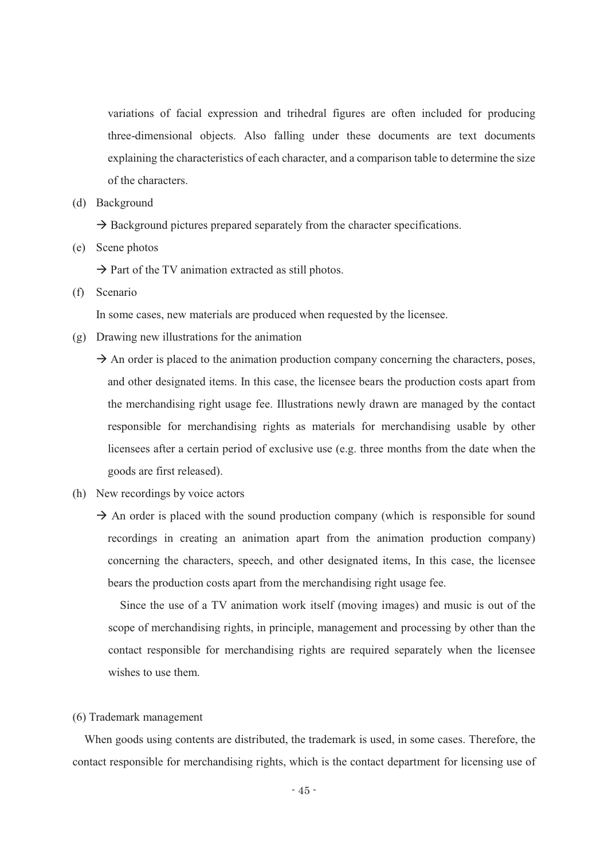variations of facial expression and trihedral figures are often included for producing three-dimensional objects. Also falling under these documents are text documents explaining the characteristics of each character, and a comparison table to determine the size of the characters.

(d) Background

 $\rightarrow$  Background pictures prepared separately from the character specifications.

(e) Scene photos

 $\rightarrow$  Part of the TV animation extracted as still photos.

(f) Scenario

In some cases, new materials are produced when requested by the licensee.

- (g) Drawing new illustrations for the animation
	- $\rightarrow$  An order is placed to the animation production company concerning the characters, poses, and other designated items. In this case, the licensee bears the production costs apart from the merchandising right usage fee. Illustrations newly drawn are managed by the contact responsible for merchandising rights as materials for merchandising usable by other licensees after a certain period of exclusive use (e.g. three months from the date when the goods are first released).
- (h) New recordings by voice actors
	- $\rightarrow$  An order is placed with the sound production company (which is responsible for sound recordings in creating an animation apart from the animation production company) concerning the characters, speech, and other designated items, In this case, the licensee bears the production costs apart from the merchandising right usage fee.

Since the use of a TV animation work itself (moving images) and music is out of the scope of merchandising rights, in principle, management and processing by other than the contact responsible for merchandising rights are required separately when the licensee wishes to use them.

#### (6) Trademark management

When goods using contents are distributed, the trademark is used, in some cases. Therefore, the contact responsible for merchandising rights, which is the contact department for licensing use of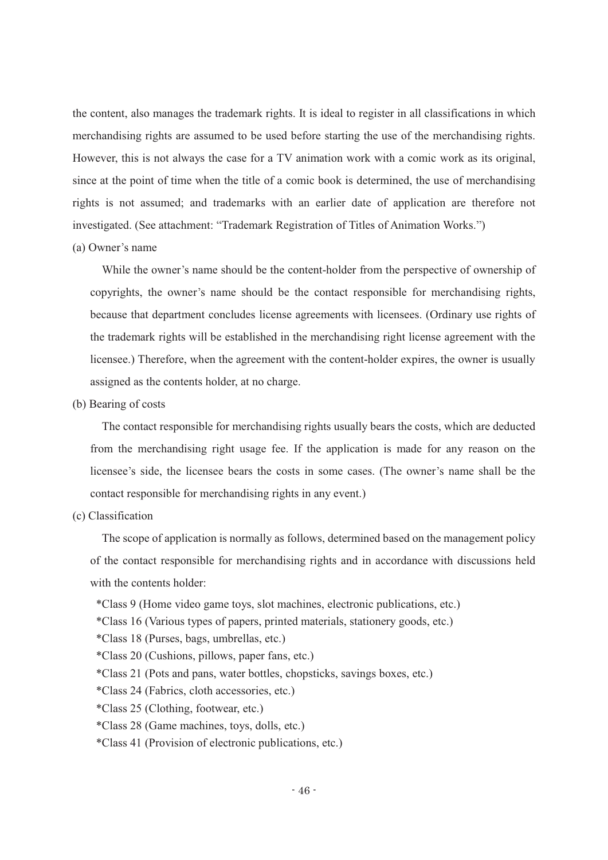the content, also manages the trademark rights. It is ideal to register in all classifications in which merchandising rights are assumed to be used before starting the use of the merchandising rights. However, this is not always the case for a TV animation work with a comic work as its original, since at the point of time when the title of a comic book is determined, the use of merchandising rights is not assumed; and trademarks with an earlier date of application are therefore not investigated. (See attachment: "Trademark Registration of Titles of Animation Works.")

(a) Owner's name

While the owner's name should be the content-holder from the perspective of ownership of copyrights, the owner's name should be the contact responsible for merchandising rights, because that department concludes license agreements with licensees. (Ordinary use rights of the trademark rights will be established in the merchandising right license agreement with the licensee.) Therefore, when the agreement with the content-holder expires, the owner is usually assigned as the contents holder, at no charge.

(b) Bearing of costs

The contact responsible for merchandising rights usually bears the costs, which are deducted from the merchandising right usage fee. If the application is made for any reason on the licensee's side, the licensee bears the costs in some cases. (The owner's name shall be the contact responsible for merchandising rights in any event.)

(c) Classification

The scope of application is normally as follows, determined based on the management policy of the contact responsible for merchandising rights and in accordance with discussions held with the contents holder:

- \*Class 9 (Home video game toys, slot machines, electronic publications, etc.)
- \*Class 16 (Various types of papers, printed materials, stationery goods, etc.)
- \*Class 18 (Purses, bags, umbrellas, etc.)
- \*Class 20 (Cushions, pillows, paper fans, etc.)
- \*Class 21 (Pots and pans, water bottles, chopsticks, savings boxes, etc.)
- \*Class 24 (Fabrics, cloth accessories, etc.)
- \*Class 25 (Clothing, footwear, etc.)
- \*Class 28 (Game machines, toys, dolls, etc.)
- \*Class 41 (Provision of electronic publications, etc.)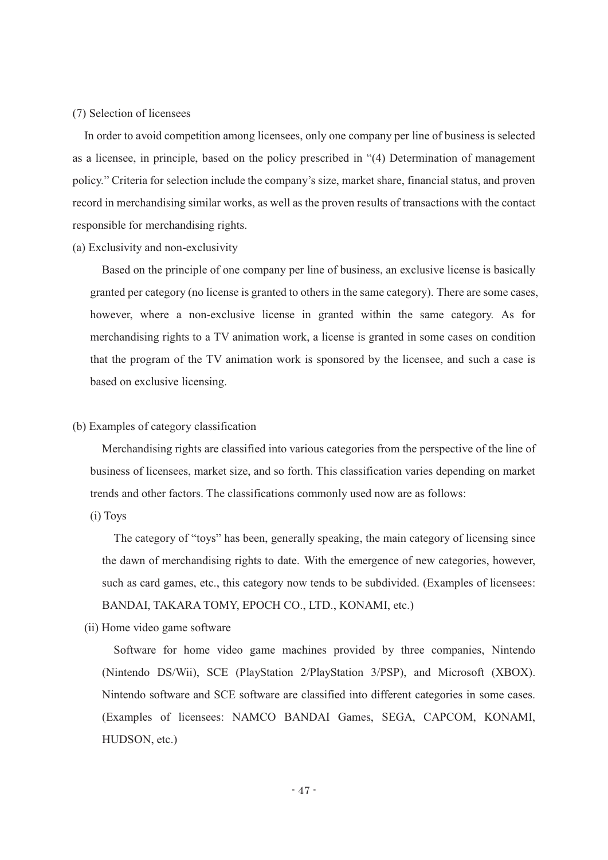# (7) Selection of licensees

In order to avoid competition among licensees, only one company per line of business is selected as a licensee, in principle, based on the policy prescribed in "(4) Determination of management policy." Criteria for selection include the company's size, market share, financial status, and proven record in merchandising similar works, as well as the proven results of transactions with the contact responsible for merchandising rights.

(a) Exclusivity and non-exclusivity

Based on the principle of one company per line of business, an exclusive license is basically granted per category (no license is granted to others in the same category). There are some cases, however, where a non-exclusive license in granted within the same category. As for merchandising rights to a TV animation work, a license is granted in some cases on condition that the program of the TV animation work is sponsored by the licensee, and such a case is based on exclusive licensing.

(b) Examples of category classification

Merchandising rights are classified into various categories from the perspective of the line of business of licensees, market size, and so forth. This classification varies depending on market trends and other factors. The classifications commonly used now are as follows:

(i) Toys

The category of "toys" has been, generally speaking, the main category of licensing since the dawn of merchandising rights to date. With the emergence of new categories, however, such as card games, etc., this category now tends to be subdivided. (Examples of licensees: BANDAI, TAKARA TOMY, EPOCH CO., LTD., KONAMI, etc.)

(ii) Home video game software

Software for home video game machines provided by three companies, Nintendo (Nintendo DS/Wii), SCE (PlayStation 2/PlayStation 3/PSP), and Microsoft (XBOX). Nintendo software and SCE software are classified into different categories in some cases. (Examples of licensees: NAMCO BANDAI Games, SEGA, CAPCOM, KONAMI, HUDSON, etc.)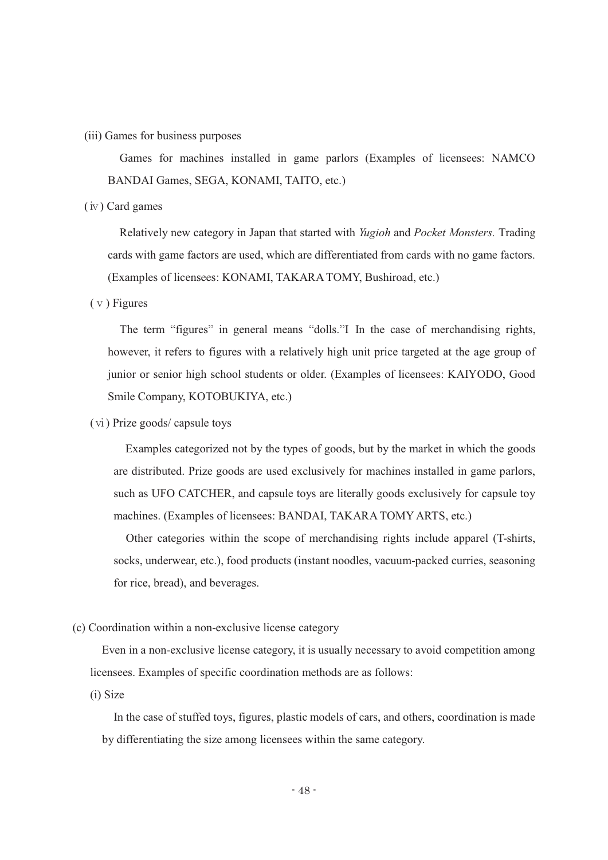(iii) Games for business purposes

Games for machines installed in game parlors (Examples of licensees: NAMCO BANDAI Games, SEGA, KONAMI, TAITO, etc.)

(ⅳ) Card games

Relatively new category in Japan that started with *Yugioh* and *Pocket Monsters.* Trading cards with game factors are used, which are differentiated from cards with no game factors. (Examples of licensees: KONAMI, TAKARA TOMY, Bushiroad, etc.)

(ⅴ) Figures

The term "figures" in general means "dolls." II in the case of merchandising rights, however, it refers to figures with a relatively high unit price targeted at the age group of junior or senior high school students or older. (Examples of licensees: KAIYODO, Good Smile Company, KOTOBUKIYA, etc.)

(ⅵ) Prize goods/ capsule toys

Examples categorized not by the types of goods, but by the market in which the goods are distributed. Prize goods are used exclusively for machines installed in game parlors, such as UFO CATCHER, and capsule toys are literally goods exclusively for capsule toy machines. (Examples of licensees: BANDAI, TAKARA TOMY ARTS, etc.)

Other categories within the scope of merchandising rights include apparel (T-shirts, socks, underwear, etc.), food products (instant noodles, vacuum-packed curries, seasoning for rice, bread), and beverages.

(c) Coordination within a non-exclusive license category

Even in a non-exclusive license category, it is usually necessary to avoid competition among licensees. Examples of specific coordination methods are as follows:

(i) Size

In the case of stuffed toys, figures, plastic models of cars, and others, coordination is made by differentiating the size among licensees within the same category.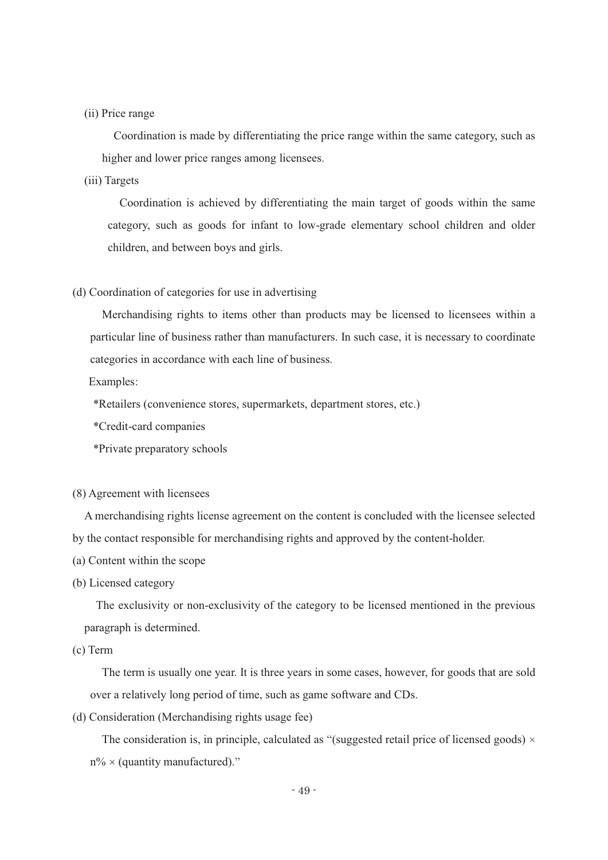# (ii) Price range

Coordination is made by differentiating the price range within the same category, such as higher and lower price ranges among licensees.

# (iii) Targets

Coordination is achieved by differentiating the main target of goods within the same category, such as goods for infant to low-grade elementary school children and older children, and between boys and girls.

# (d) Coordination of categories for use in advertising

Merchandising rights to items other than products may be licensed to licensees within a particular line of business rather than manufacturers. In such case, it is necessary to coordinate categories in accordance with each line of business.

Examples:

\*Retailers (convenience stores, supermarkets, department stores, etc.)

\*Credit-card companies

\*Private preparatory schools

(8) Agreement with licensees

A merchandising rights license agreement on the content is concluded with the licensee selected by the contact responsible for merchandising rights and approved by the content-holder.

- (a) Content within the scope
- (b) Licensed category

The exclusivity or non-exclusivity of the category to be licensed mentioned in the previous paragraph is determined.

(c) Term

The term is usually one year. It is three years in some cases, however, for goods that are sold over a relatively long period of time, such as game software and CDs.

(d) Consideration (Merchandising rights usage fee)

The consideration is, in principle, calculated as "(suggested retail price of licensed goods)  $\times$  $n\% \times$  (quantity manufactured)."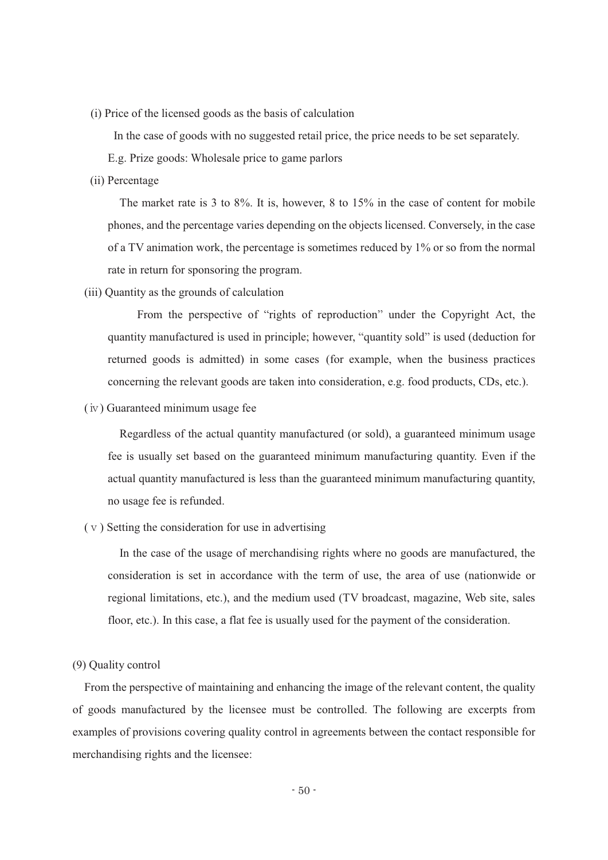(i) Price of the licensed goods as the basis of calculation

In the case of goods with no suggested retail price, the price needs to be set separately.

E.g. Prize goods: Wholesale price to game parlors

# (ii) Percentage

The market rate is 3 to 8%. It is, however, 8 to 15% in the case of content for mobile phones, and the percentage varies depending on the objects licensed. Conversely, in the case of a TV animation work, the percentage is sometimes reduced by 1% or so from the normal rate in return for sponsoring the program.

(iii) Quantity as the grounds of calculation

From the perspective of "rights of reproduction" under the Copyright Act, the quantity manufactured is used in principle; however, "quantity sold" is used (deduction for returned goods is admitted) in some cases (for example, when the business practices concerning the relevant goods are taken into consideration, e.g. food products, CDs, etc.).

(ⅳ) Guaranteed minimum usage fee

Regardless of the actual quantity manufactured (or sold), a guaranteed minimum usage fee is usually set based on the guaranteed minimum manufacturing quantity. Even if the actual quantity manufactured is less than the guaranteed minimum manufacturing quantity, no usage fee is refunded.

(ⅴ) Setting the consideration for use in advertising

In the case of the usage of merchandising rights where no goods are manufactured, the consideration is set in accordance with the term of use, the area of use (nationwide or regional limitations, etc.), and the medium used (TV broadcast, magazine, Web site, sales floor, etc.). In this case, a flat fee is usually used for the payment of the consideration.

# (9) Quality control

From the perspective of maintaining and enhancing the image of the relevant content, the quality of goods manufactured by the licensee must be controlled. The following are excerpts from examples of provisions covering quality control in agreements between the contact responsible for merchandising rights and the licensee: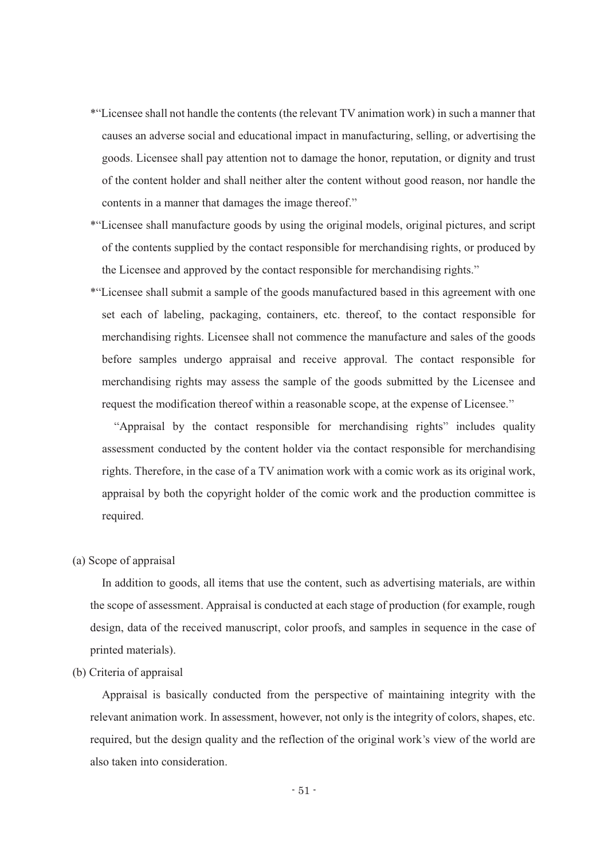- \* Licensee shall not handle the contents (the relevant TV animation work) in such a manner that causes an adverse social and educational impact in manufacturing, selling, or advertising the goods. Licensee shall pay attention not to damage the honor, reputation, or dignity and trust of the content holder and shall neither alter the content without good reason, nor handle the contents in a manner that damages the image thereof."
- \* Licensee shall manufacture goods by using the original models, original pictures, and script of the contents supplied by the contact responsible for merchandising rights, or produced by the Licensee and approved by the contact responsible for merchandising rights.
- \* Licensee shall submit a sample of the goods manufactured based in this agreement with one set each of labeling, packaging, containers, etc. thereof, to the contact responsible for merchandising rights. Licensee shall not commence the manufacture and sales of the goods before samples undergo appraisal and receive approval. The contact responsible for merchandising rights may assess the sample of the goods submitted by the Licensee and request the modification thereof within a reasonable scope, at the expense of Licensee."

"Appraisal by the contact responsible for merchandising rights" includes quality assessment conducted by the content holder via the contact responsible for merchandising rights. Therefore, in the case of a TV animation work with a comic work as its original work, appraisal by both the copyright holder of the comic work and the production committee is required.

(a) Scope of appraisal

In addition to goods, all items that use the content, such as advertising materials, are within the scope of assessment. Appraisal is conducted at each stage of production (for example, rough design, data of the received manuscript, color proofs, and samples in sequence in the case of printed materials).

(b) Criteria of appraisal

Appraisal is basically conducted from the perspective of maintaining integrity with the relevant animation work. In assessment, however, not only is the integrity of colors, shapes, etc. required, but the design quality and the reflection of the original work's view of the world are also taken into consideration.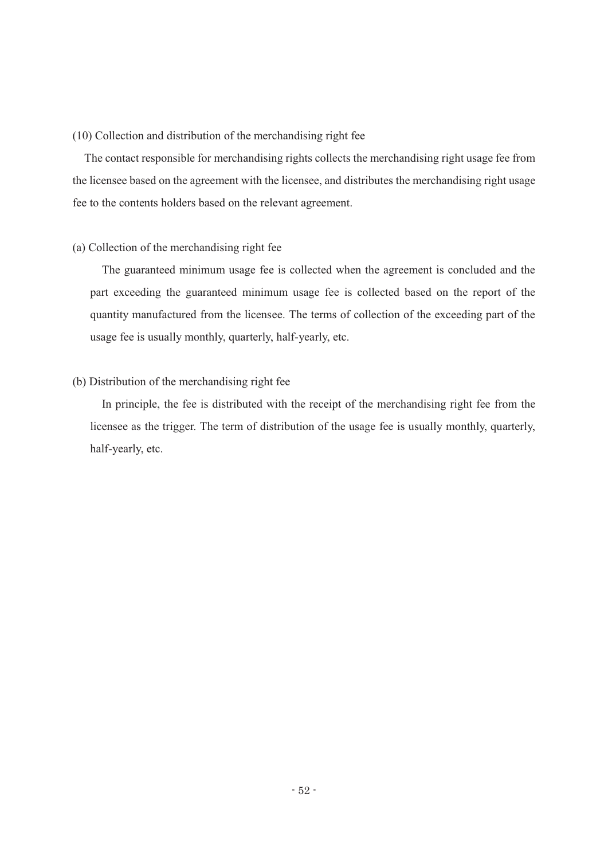# (10) Collection and distribution of the merchandising right fee

The contact responsible for merchandising rights collects the merchandising right usage fee from the licensee based on the agreement with the licensee, and distributes the merchandising right usage fee to the contents holders based on the relevant agreement.

# (a) Collection of the merchandising right fee

The guaranteed minimum usage fee is collected when the agreement is concluded and the part exceeding the guaranteed minimum usage fee is collected based on the report of the quantity manufactured from the licensee. The terms of collection of the exceeding part of the usage fee is usually monthly, quarterly, half-yearly, etc.

#### (b) Distribution of the merchandising right fee

In principle, the fee is distributed with the receipt of the merchandising right fee from the licensee as the trigger. The term of distribution of the usage fee is usually monthly, quarterly, half-yearly, etc.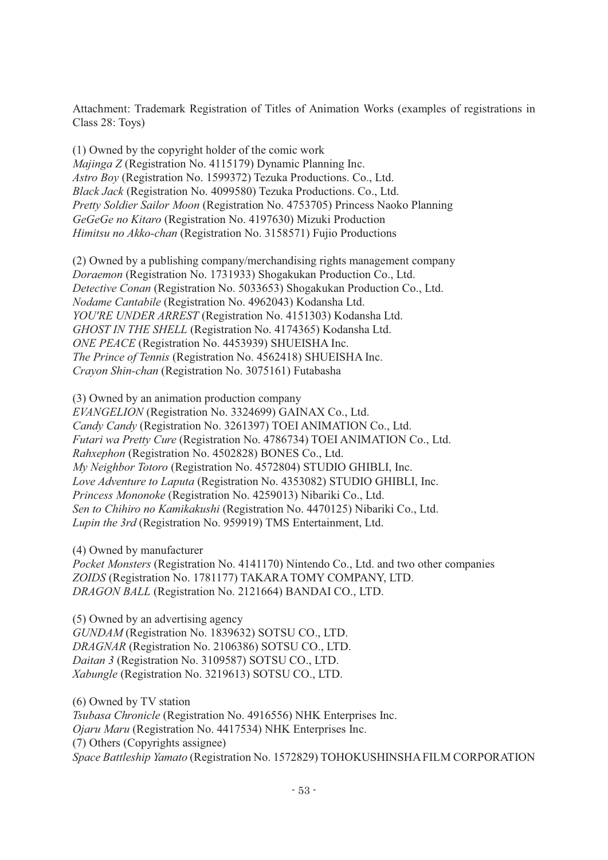Attachment: Trademark Registration of Titles of Animation Works (examples of registrations in Class 28: Toys)

(1) Owned by the copyright holder of the comic work *Majinga Z* (Registration No. 4115179) Dynamic Planning Inc. *Astro Boy* (Registration No. 1599372) Tezuka Productions. Co., Ltd. *Black Jack* (Registration No. 4099580) Tezuka Productions. Co., Ltd. *Pretty Soldier Sailor Moon* (Registration No. 4753705) Princess Naoko Planning *GeGeGe no Kitaro* (Registration No. 4197630) Mizuki Production *Himitsu no Akko-chan* (Registration No. 3158571) Fujio Productions

(2) Owned by a publishing company/merchandising rights management company *Doraemon* (Registration No. 1731933) Shogakukan Production Co., Ltd. *Detective Conan* (Registration No. 5033653) Shogakukan Production Co., Ltd. *Nodame Cantabile* (Registration No. 4962043) Kodansha Ltd. *YOU'RE UNDER ARREST* (Registration No. 4151303) Kodansha Ltd. *GHOST IN THE SHELL* (Registration No. 4174365) Kodansha Ltd. *ONE PEACE* (Registration No. 4453939) SHUEISHA Inc. *The Prince of Tennis* (Registration No. 4562418) SHUEISHA Inc. *Crayon Shin-chan* (Registration No. 3075161) Futabasha

(3) Owned by an animation production company *EVANGELION* (Registration No. 3324699) GAINAX Co., Ltd. *Candy Candy* (Registration No. 3261397) TOEI ANIMATION Co., Ltd. *Futari wa Pretty Cure* (Registration No. 4786734) TOEI ANIMATION Co., Ltd. *Rahxephon* (Registration No. 4502828) BONES Co., Ltd. *My Neighbor Totoro* (Registration No. 4572804) STUDIO GHIBLI, Inc. *Love Adventure to Laputa* (Registration No. 4353082) STUDIO GHIBLI, Inc. *Princess Mononoke* (Registration No. 4259013) Nibariki Co., Ltd. *Sen to Chihiro no Kamikakushi* (Registration No. 4470125) Nibariki Co., Ltd. *Lupin the 3rd* (Registration No. 959919) TMS Entertainment, Ltd.

(4) Owned by manufacturer

*Pocket Monsters* (Registration No. 4141170) Nintendo Co., Ltd. and two other companies *ZOIDS* (Registration No. 1781177) TAKARA TOMY COMPANY, LTD. *DRAGON BALL* (Registration No. 2121664) BANDAI CO., LTD.

(5) Owned by an advertising agency

*GUNDAM* (Registration No. 1839632) SOTSU CO., LTD. *DRAGNAR* (Registration No. 2106386) SOTSU CO., LTD. *Daitan 3* (Registration No. 3109587) SOTSU CO., LTD. *Xabungle* (Registration No. 3219613) SOTSU CO., LTD.

(6) Owned by TV station *Tsubasa Chronicle* (Registration No. 4916556) NHK Enterprises Inc. *Ojaru Maru* (Registration No. 4417534) NHK Enterprises Inc. (7) Others (Copyrights assignee) *Space Battleship Yamato* (Registration No. 1572829) TOHOKUSHINSHA FILM CORPORATION